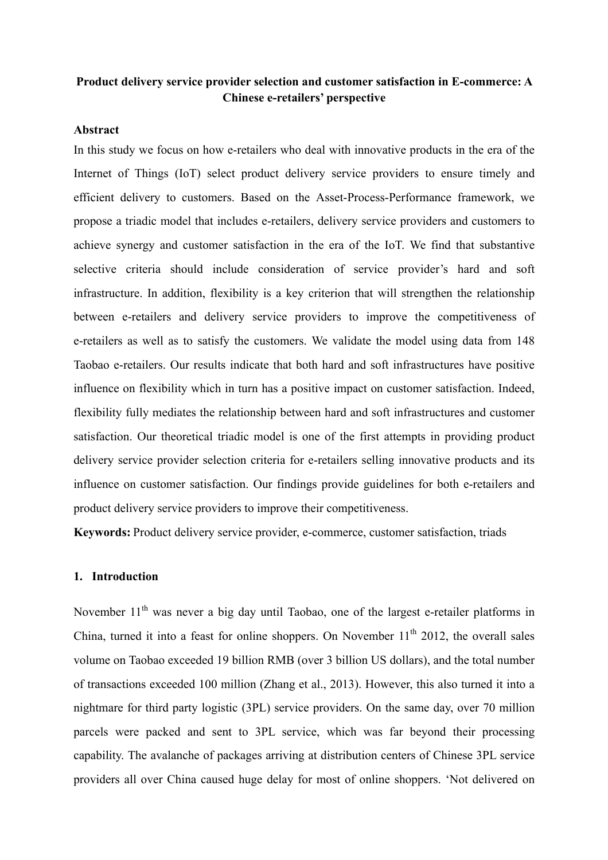# **Product delivery service provider selection and customer satisfaction in E-commerce: A Chinese e-retailers' perspective**

# **Abstract**

In this study we focus on how e-retailers who deal with innovative products in the era of the Internet of Things (IoT) select product delivery service providers to ensure timely and efficient delivery to customers. Based on the Asset-Process-Performance framework, we propose a triadic model that includes e-retailers, delivery service providers and customers to achieve synergy and customer satisfaction in the era of the IoT. We find that substantive selective criteria should include consideration of service provider's hard and soft infrastructure. In addition, flexibility is a key criterion that will strengthen the relationship between e-retailers and delivery service providers to improve the competitiveness of e-retailers as well as to satisfy the customers. We validate the model using data from 148 Taobao e-retailers. Our results indicate that both hard and soft infrastructures have positive influence on flexibility which in turn has a positive impact on customer satisfaction. Indeed, flexibility fully mediates the relationship between hard and soft infrastructures and customer satisfaction. Our theoretical triadic model is one of the first attempts in providing product delivery service provider selection criteria for e-retailers selling innovative products and its influence on customer satisfaction. Our findings provide guidelines for both e-retailers and product delivery service providers to improve their competitiveness.

**Keywords:** Product delivery service provider, e-commerce, customer satisfaction, triads

# **1. Introduction**

November 11<sup>th</sup> was never a big day until Taobao, one of the largest e-retailer platforms in China, turned it into a feast for online shoppers. On November  $11<sup>th</sup>$  2012, the overall sales volume on Taobao exceeded 19 billion RMB (over 3 billion US dollars), and the total number of transactions exceeded 100 million (Zhang et al., 2013). However, this also turned it into a nightmare for third party logistic (3PL) service providers. On the same day, over 70 million parcels were packed and sent to 3PL service, which was far beyond their processing capability. The avalanche of packages arriving at distribution centers of Chinese 3PL service providers all over China caused huge delay for most of online shoppers. 'Not delivered on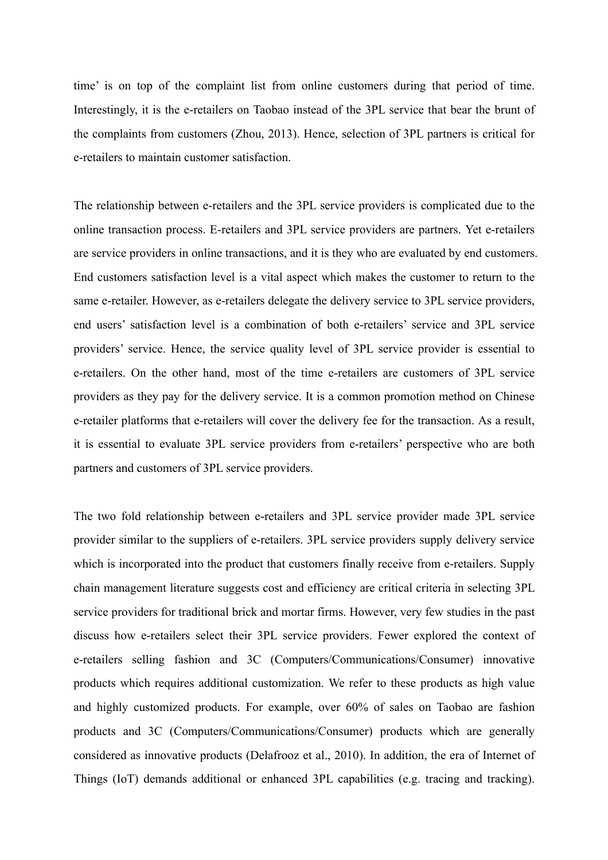time' is on top of the complaint list from online customers during that period of time. Interestingly, it is the e-retailers on Taobao instead of the 3PL service that bear the brunt of the complaints from customers (Zhou, 2013). Hence, selection of 3PL partners is critical for e-retailers to maintain customer satisfaction.

The relationship between e-retailers and the 3PL service providers is complicated due to the online transaction process. E-retailers and 3PL service providers are partners. Yet e-retailers are service providers in online transactions, and it is they who are evaluated by end customers. End customers satisfaction level is a vital aspect which makes the customer to return to the same e-retailer. However, as e-retailers delegate the delivery service to 3PL service providers, end users' satisfaction level is a combination of both e-retailers' service and 3PL service providers' service. Hence, the service quality level of 3PL service provider is essential to e-retailers. On the other hand, most of the time e-retailers are customers of 3PL service providers as they pay for the delivery service. It is a common promotion method on Chinese e-retailer platforms that e-retailers will cover the delivery fee for the transaction. As a result, it is essential to evaluate 3PL service providers from e-retailers' perspective who are both partners and customers of 3PL service providers.

The two fold relationship between e-retailers and 3PL service provider made 3PL service provider similar to the suppliers of e-retailers. 3PL service providers supply delivery service which is incorporated into the product that customers finally receive from e-retailers. Supply chain management literature suggests cost and efficiency are critical criteria in selecting 3PL service providers for traditional brick and mortar firms. However, very few studies in the past discuss how e-retailers select their 3PL service providers. Fewer explored the context of e-retailers selling fashion and 3C (Computers/Communications/Consumer) innovative products which requires additional customization. We refer to these products as high value and highly customized products. For example, over 60% of sales on Taobao are fashion products and 3C (Computers/Communications/Consumer) products which are generally considered as innovative products (Delafrooz et al., 2010). In addition, the era of Internet of Things (IoT) demands additional or enhanced 3PL capabilities (e.g. tracing and tracking).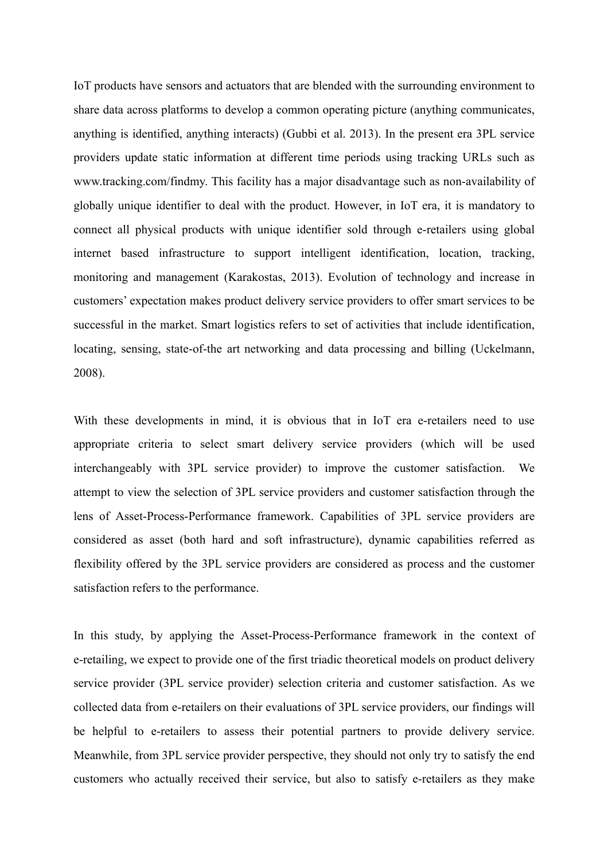IoT products have sensors and actuators that are blended with the surrounding environment to share data across platforms to develop a common operating picture (anything communicates, anything is identified, anything interacts) (Gubbi et al. 2013). In the present era 3PL service providers update static information at different time periods using tracking URLs such as www.tracking.com/findmy. This facility has a major disadvantage such as non-availability of globally unique identifier to deal with the product. However, in IoT era, it is mandatory to connect all physical products with unique identifier sold through e-retailers using global internet based infrastructure to support intelligent identification, location, tracking, monitoring and management (Karakostas, 2013). Evolution of technology and increase in customers' expectation makes product delivery service providers to offer smart services to be successful in the market. Smart logistics refers to set of activities that include identification, locating, sensing, state-of-the art networking and data processing and billing (Uckelmann, 2008).

With these developments in mind, it is obvious that in IoT era e-retailers need to use appropriate criteria to select smart delivery service providers (which will be used interchangeably with 3PL service provider) to improve the customer satisfaction. We attempt to view the selection of 3PL service providers and customer satisfaction through the lens of Asset-Process-Performance framework. Capabilities of 3PL service providers are considered as asset (both hard and soft infrastructure), dynamic capabilities referred as flexibility offered by the 3PL service providers are considered as process and the customer satisfaction refers to the performance.

In this study, by applying the Asset-Process-Performance framework in the context of e-retailing, we expect to provide one of the first triadic theoretical models on product delivery service provider (3PL service provider) selection criteria and customer satisfaction. As we collected data from e-retailers on their evaluations of 3PL service providers, our findings will be helpful to e-retailers to assess their potential partners to provide delivery service. Meanwhile, from 3PL service provider perspective, they should not only try to satisfy the end customers who actually received their service, but also to satisfy e-retailers as they make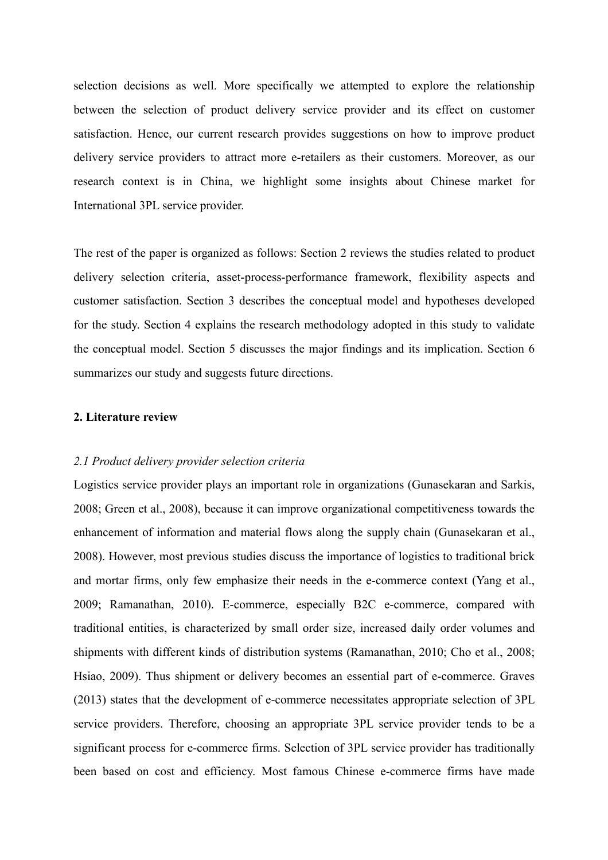selection decisions as well. More specifically we attempted to explore the relationship between the selection of product delivery service provider and its effect on customer satisfaction. Hence, our current research provides suggestions on how to improve product delivery service providers to attract more e-retailers as their customers. Moreover, as our research context is in China, we highlight some insights about Chinese market for International 3PL service provider.

The rest of the paper is organized as follows: Section 2 reviews the studies related to product delivery selection criteria, asset-process-performance framework, flexibility aspects and customer satisfaction. Section 3 describes the conceptual model and hypotheses developed for the study. Section 4 explains the research methodology adopted in this study to validate the conceptual model. Section 5 discusses the major findings and its implication. Section 6 summarizes our study and suggests future directions.

## **2. Literature review**

### *2.1 Product delivery provider selection criteria*

Logistics service provider plays an important role in organizations (Gunasekaran and Sarkis, 2008; Green et al., 2008), because it can improve organizational competitiveness towards the enhancement of information and material flows along the supply chain (Gunasekaran et al., 2008). However, most previous studies discuss the importance of logistics to traditional brick and mortar firms, only few emphasize their needs in the e-commerce context (Yang et al., 2009; Ramanathan, 2010). E-commerce, especially B2C e-commerce, compared with traditional entities, is characterized by small order size, increased daily order volumes and shipments with different kinds of distribution systems (Ramanathan, 2010; Cho et al., 2008; Hsiao, 2009). Thus shipment or delivery becomes an essential part of e-commerce. Graves (2013) states that the development of e-commerce necessitates appropriate selection of 3PL service providers. Therefore, choosing an appropriate 3PL service provider tends to be a significant process for e-commerce firms. Selection of 3PL service provider has traditionally been based on cost and efficiency. Most famous Chinese e-commerce firms have made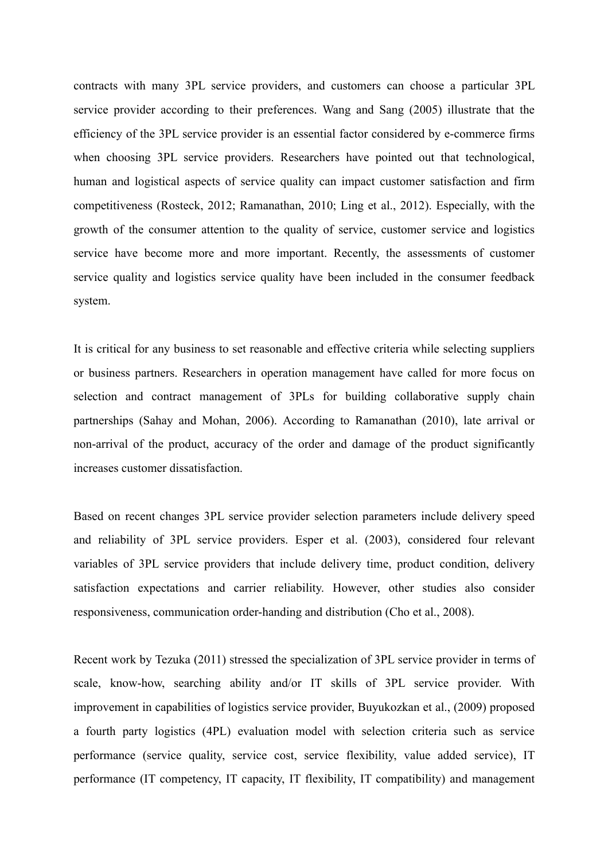contracts with many 3PL service providers, and customers can choose a particular 3PL service provider according to their preferences. Wang and Sang (2005) illustrate that the efficiency of the 3PL service provider is an essential factor considered by e-commerce firms when choosing 3PL service providers. Researchers have pointed out that technological, human and logistical aspects of service quality can impact customer satisfaction and firm competitiveness (Rosteck, 2012; Ramanathan, 2010; Ling et al., 2012). Especially, with the growth of the consumer attention to the quality of service, customer service and logistics service have become more and more important. Recently, the assessments of customer service quality and logistics service quality have been included in the consumer feedback system.

It is critical for any business to set reasonable and effective criteria while selecting suppliers or business partners. Researchers in operation management have called for more focus on selection and contract management of 3PLs for building collaborative supply chain partnerships (Sahay and Mohan, 2006). According to Ramanathan (2010), late arrival or non-arrival of the product, accuracy of the order and damage of the product significantly increases customer dissatisfaction.

Based on recent changes 3PL service provider selection parameters include delivery speed and reliability of 3PL service providers. Esper et al. (2003), considered four relevant variables of 3PL service providers that include delivery time, product condition, delivery satisfaction expectations and carrier reliability. However, other studies also consider responsiveness, communication order-handing and distribution (Cho et al., 2008).

Recent work by Tezuka (2011) stressed the specialization of 3PL service provider in terms of scale, know-how, searching ability and/or IT skills of 3PL service provider. With improvement in capabilities of logistics service provider, Buyukozkan et al., (2009) proposed a fourth party logistics (4PL) evaluation model with selection criteria such as service performance (service quality, service cost, service flexibility, value added service), IT performance (IT competency, IT capacity, IT flexibility, IT compatibility) and management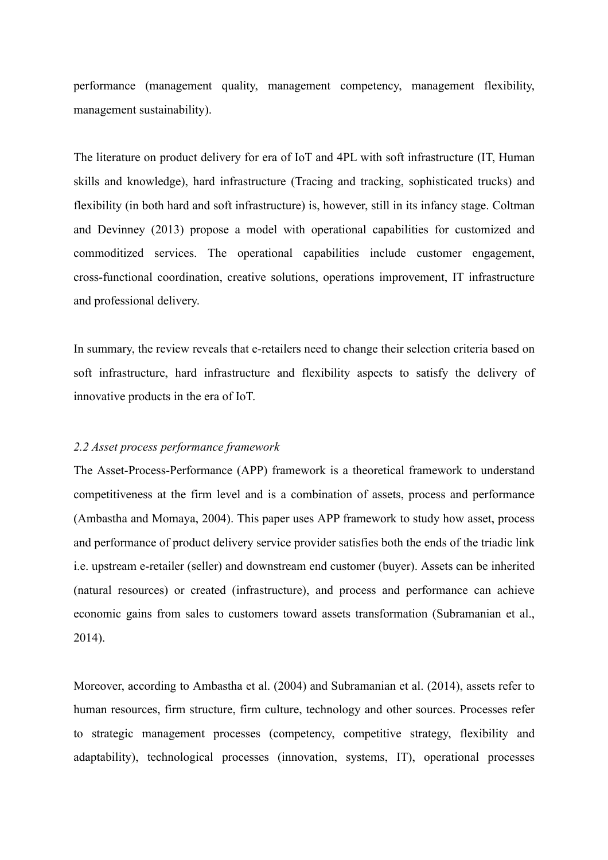performance (management quality, management competency, management flexibility, management sustainability).

The literature on product delivery for era of IoT and 4PL with soft infrastructure (IT, Human skills and knowledge), hard infrastructure (Tracing and tracking, sophisticated trucks) and flexibility (in both hard and soft infrastructure) is, however, still in its infancy stage. Coltman and Devinney (2013) propose a model with operational capabilities for customized and commoditized services. The operational capabilities include customer engagement, cross-functional coordination, creative solutions, operations improvement, IT infrastructure and professional delivery.

In summary, the review reveals that e-retailers need to change their selection criteria based on soft infrastructure, hard infrastructure and flexibility aspects to satisfy the delivery of innovative products in the era of IoT.

### *2.2 Asset process performance framework*

The Asset-Process-Performance (APP) framework is a theoretical framework to understand competitiveness at the firm level and is a combination of assets, process and performance (Ambastha and Momaya, 2004). This paper uses APP framework to study how asset, process and performance of product delivery service provider satisfies both the ends of the triadic link i.e. upstream e-retailer (seller) and downstream end customer (buyer). Assets can be inherited (natural resources) or created (infrastructure), and process and performance can achieve economic gains from sales to customers toward assets transformation (Subramanian et al., 2014).

Moreover, according to Ambastha et al. (2004) and Subramanian et al. (2014), assets refer to human resources, firm structure, firm culture, technology and other sources. Processes refer to strategic management processes (competency, competitive strategy, flexibility and adaptability), technological processes (innovation, systems, IT), operational processes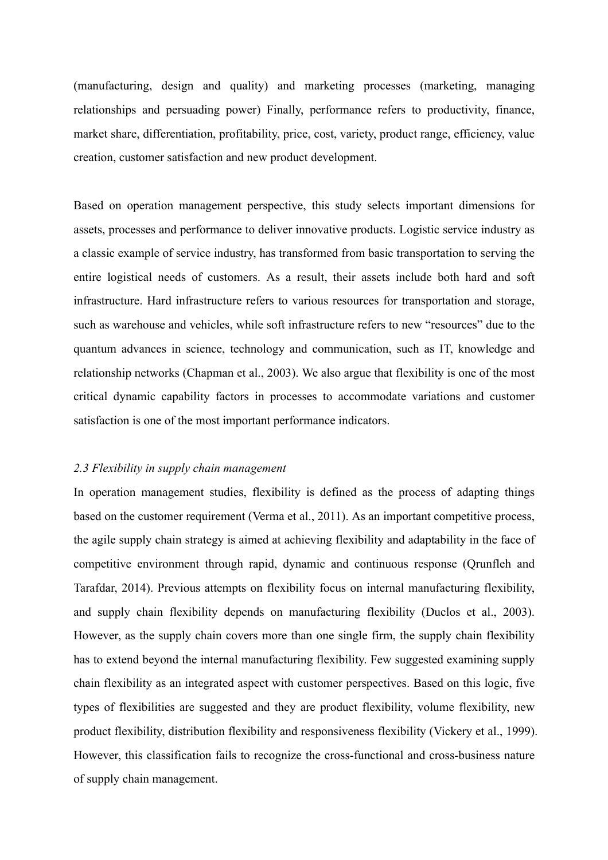(manufacturing, design and quality) and marketing processes (marketing, managing relationships and persuading power) Finally, performance refers to productivity, finance, market share, differentiation, profitability, price, cost, variety, product range, efficiency, value creation, customer satisfaction and new product development.

Based on operation management perspective, this study selects important dimensions for assets, processes and performance to deliver innovative products. Logistic service industry as a classic example of service industry, has transformed from basic transportation to serving the entire logistical needs of customers. As a result, their assets include both hard and soft infrastructure. Hard infrastructure refers to various resources for transportation and storage, such as warehouse and vehicles, while soft infrastructure refers to new "resources" due to the quantum advances in science, technology and communication, such as IT, knowledge and relationship networks (Chapman et al., 2003). We also argue that flexibility is one of the most critical dynamic capability factors in processes to accommodate variations and customer satisfaction is one of the most important performance indicators.

## *2.3 Flexibility in supply chain management*

In operation management studies, flexibility is defined as the process of adapting things based on the customer requirement (Verma et al., 2011). As an important competitive process, the agile supply chain strategy is aimed at achieving flexibility and adaptability in the face of competitive environment through rapid, dynamic and continuous response (Qrunfleh and Tarafdar, 2014). Previous attempts on flexibility focus on internal manufacturing flexibility, and supply chain flexibility depends on manufacturing flexibility (Duclos et al., 2003). However, as the supply chain covers more than one single firm, the supply chain flexibility has to extend beyond the internal manufacturing flexibility. Few suggested examining supply chain flexibility as an integrated aspect with customer perspectives. Based on this logic, five types of flexibilities are suggested and they are product flexibility, volume flexibility, new product flexibility, distribution flexibility and responsiveness flexibility (Vickery et al., 1999). However, this classification fails to recognize the cross-functional and cross-business nature of supply chain management.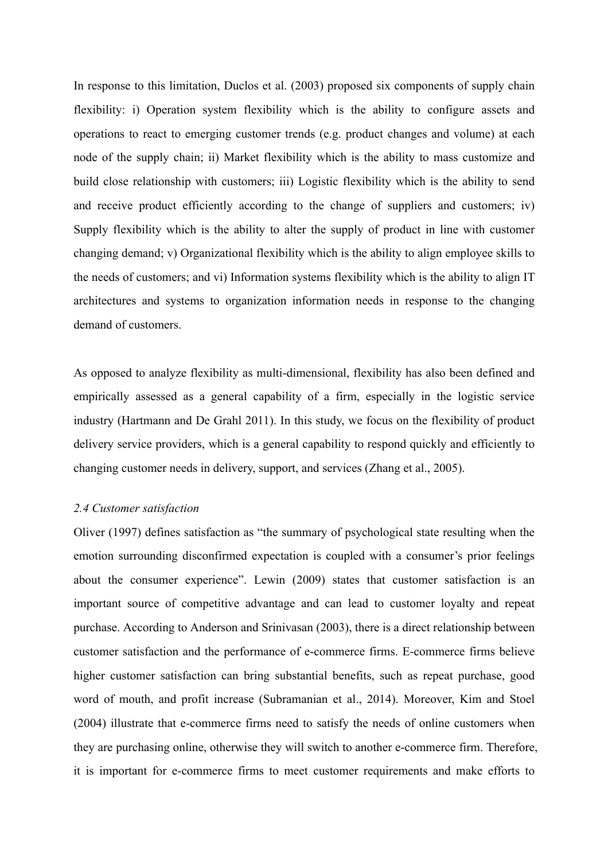In response to this limitation, Duclos et al. (2003) proposed six components of supply chain flexibility: i) Operation system flexibility which is the ability to configure assets and operations to react to emerging customer trends (e.g. product changes and volume) at each node of the supply chain; ii) Market flexibility which is the ability to mass customize and build close relationship with customers; iii) Logistic flexibility which is the ability to send and receive product efficiently according to the change of suppliers and customers; iv) Supply flexibility which is the ability to alter the supply of product in line with customer changing demand; v) Organizational flexibility which is the ability to align employee skills to the needs of customers; and vi) Information systems flexibility which is the ability to align IT architectures and systems to organization information needs in response to the changing demand of customers.

As opposed to analyze flexibility as multi-dimensional, flexibility has also been defined and empirically assessed as a general capability of a firm, especially in the logistic service industry (Hartmann and De Grahl 2011). In this study, we focus on the flexibility of product delivery service providers, which is a general capability to respond quickly and efficiently to changing customer needs in delivery, support, and services (Zhang et al., 2005).

# *2.4 Customer satisfaction*

Oliver (1997) defines satisfaction as "the summary of psychological state resulting when the emotion surrounding disconfirmed expectation is coupled with a consumer's prior feelings about the consumer experience". Lewin (2009) states that customer satisfaction is an important source of competitive advantage and can lead to customer loyalty and repeat purchase. According to Anderson and Srinivasan (2003), there is a direct relationship between customer satisfaction and the performance of e-commerce firms. E-commerce firms believe higher customer satisfaction can bring substantial benefits, such as repeat purchase, good word of mouth, and profit increase (Subramanian et al., 2014). Moreover, Kim and Stoel (2004) illustrate that e-commerce firms need to satisfy the needs of online customers when they are purchasing online, otherwise they will switch to another e-commerce firm. Therefore, it is important for e-commerce firms to meet customer requirements and make efforts to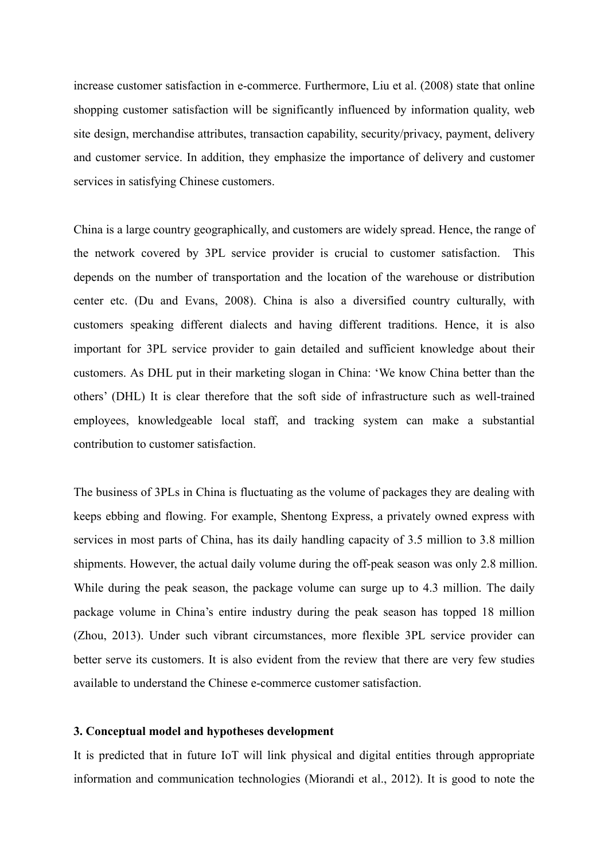increase customer satisfaction in e-commerce. Furthermore, Liu et al. (2008) state that online shopping customer satisfaction will be significantly influenced by information quality, web site design, merchandise attributes, transaction capability, security/privacy, payment, delivery and customer service. In addition, they emphasize the importance of delivery and customer services in satisfying Chinese customers.

China is a large country geographically, and customers are widely spread. Hence, the range of the network covered by 3PL service provider is crucial to customer satisfaction. This depends on the number of transportation and the location of the warehouse or distribution center etc. (Du and Evans, 2008). China is also a diversified country culturally, with customers speaking different dialects and having different traditions. Hence, it is also important for 3PL service provider to gain detailed and sufficient knowledge about their customers. As DHL put in their marketing slogan in China: 'We know China better than the others' (DHL) It is clear therefore that the soft side of infrastructure such as well-trained employees, knowledgeable local staff, and tracking system can make a substantial contribution to customer satisfaction.

The business of 3PLs in China is fluctuating as the volume of packages they are dealing with keeps ebbing and flowing. For example, Shentong Express, a privately owned express with services in most parts of China, has its daily handling capacity of 3.5 million to 3.8 million shipments. However, the actual daily volume during the off-peak season was only 2.8 million. While during the peak season, the package volume can surge up to 4.3 million. The daily package volume in China's entire industry during the peak season has topped 18 million (Zhou, 2013). Under such vibrant circumstances, more flexible 3PL service provider can better serve its customers. It is also evident from the review that there are very few studies available to understand the Chinese e-commerce customer satisfaction.

# **3. Conceptual model and hypotheses development**

It is predicted that in future IoT will link physical and digital entities through appropriate information and communication technologies (Miorandi et al., 2012). It is good to note the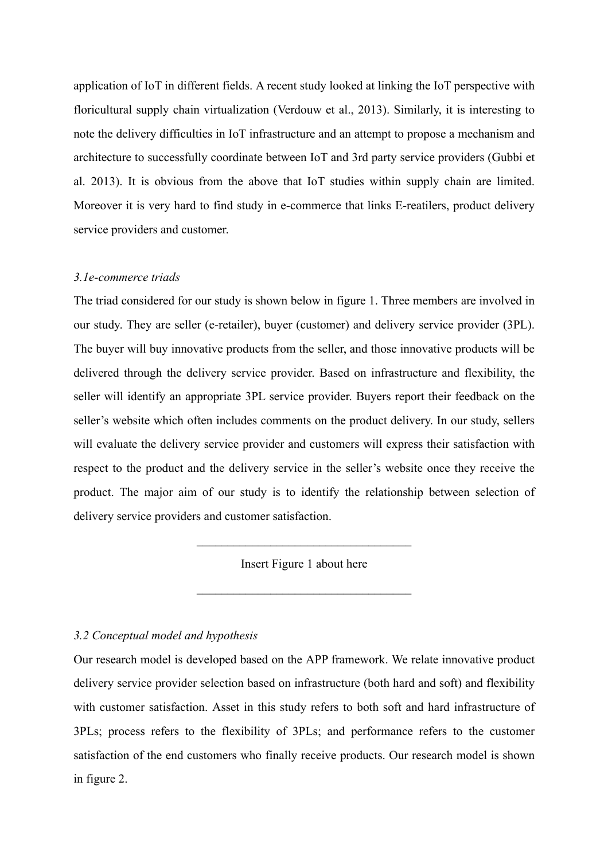application of IoT in different fields. A recent study looked at linking the IoT perspective with floricultural supply chain virtualization (Verdouw et al., 2013). Similarly, it is interesting to note the delivery difficulties in IoT infrastructure and an attempt to propose a mechanism and architecture to successfully coordinate between IoT and 3rd party service providers (Gubbi et al. 2013). It is obvious from the above that IoT studies within supply chain are limited. Moreover it is very hard to find study in e-commerce that links E-reatilers, product delivery service providers and customer.

## *3.1e-commerce triads*

The triad considered for our study is shown below in figure 1. Three members are involved in our study. They are seller (e-retailer), buyer (customer) and delivery service provider (3PL). The buyer will buy innovative products from the seller, and those innovative products will be delivered through the delivery service provider. Based on infrastructure and flexibility, the seller will identify an appropriate 3PL service provider. Buyers report their feedback on the seller's website which often includes comments on the product delivery. In our study, sellers will evaluate the delivery service provider and customers will express their satisfaction with respect to the product and the delivery service in the seller's website once they receive the product. The major aim of our study is to identify the relationship between selection of delivery service providers and customer satisfaction.

Insert Figure 1 about here

 $\mathcal{L}_\text{max}$  , and the set of the set of the set of the set of the set of the set of the set of the set of the set of the set of the set of the set of the set of the set of the set of the set of the set of the set of the

 $\mathcal{L}_\text{max}$ 

## *3.2 Conceptual model and hypothesis*

Our research model is developed based on the APP framework. We relate innovative product delivery service provider selection based on infrastructure (both hard and soft) and flexibility with customer satisfaction. Asset in this study refers to both soft and hard infrastructure of 3PLs; process refers to the flexibility of 3PLs; and performance refers to the customer satisfaction of the end customers who finally receive products. Our research model is shown in figure 2.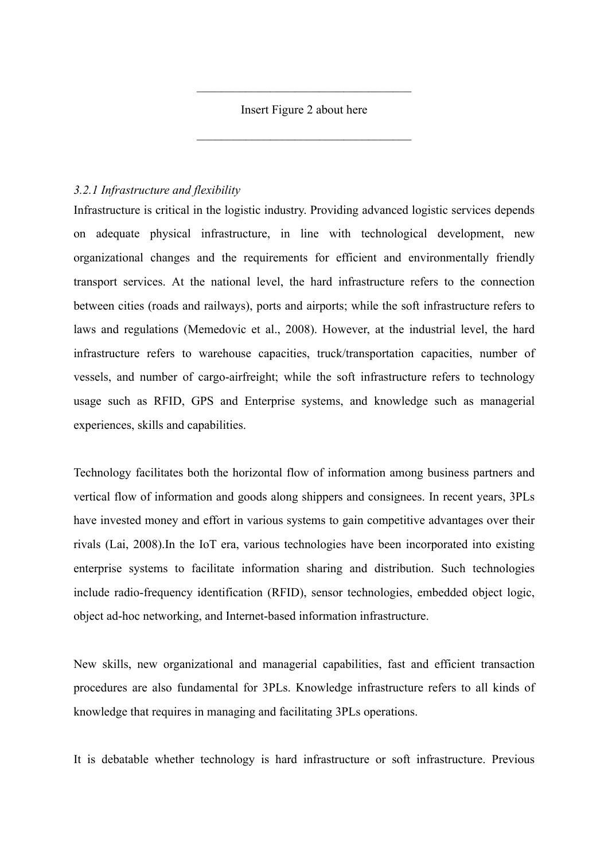Insert Figure 2 about here

 $\mathcal{L}_\text{max}$  , and the set of the set of the set of the set of the set of the set of the set of the set of the set of the set of the set of the set of the set of the set of the set of the set of the set of the set of the

 $\mathcal{L}_\text{max}$  , and the set of the set of the set of the set of the set of the set of the set of the set of the set of the set of the set of the set of the set of the set of the set of the set of the set of the set of the

# *3.2.1 Infrastructure and flexibility*

Infrastructure is critical in the logistic industry. Providing advanced logistic services depends on adequate physical infrastructure, in line with technological development, new organizational changes and the requirements for efficient and environmentally friendly transport services. At the national level, the hard infrastructure refers to the connection between cities (roads and railways), ports and airports; while the soft infrastructure refers to laws and regulations (Memedovic et al., 2008). However, at the industrial level, the hard infrastructure refers to warehouse capacities, truck/transportation capacities, number of vessels, and number of cargo-airfreight; while the soft infrastructure refers to technology usage such as RFID, GPS and Enterprise systems, and knowledge such as managerial experiences, skills and capabilities.

Technology facilitates both the horizontal flow of information among business partners and vertical flow of information and goods along shippers and consignees. In recent years, 3PLs have invested money and effort in various systems to gain competitive advantages over their rivals (Lai, 2008).In the IoT era, various technologies have been incorporated into existing enterprise systems to facilitate information sharing and distribution. Such technologies include radio-frequency identification (RFID), sensor technologies, embedded object logic, object ad-hoc networking, and Internet-based information infrastructure.

New skills, new organizational and managerial capabilities, fast and efficient transaction procedures are also fundamental for 3PLs. Knowledge infrastructure refers to all kinds of knowledge that requires in managing and facilitating 3PLs operations.

It is debatable whether technology is hard infrastructure or soft infrastructure. Previous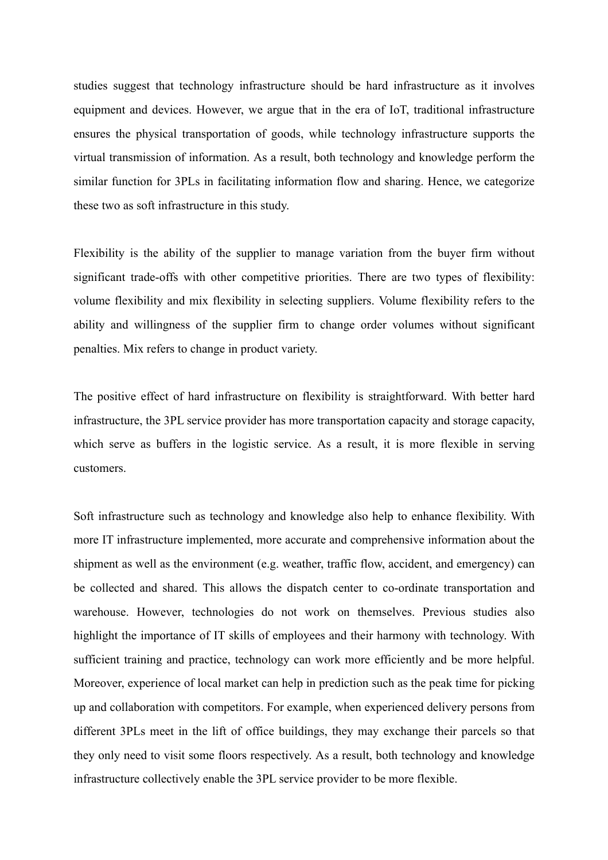studies suggest that technology infrastructure should be hard infrastructure as it involves equipment and devices. However, we argue that in the era of IoT, traditional infrastructure ensures the physical transportation of goods, while technology infrastructure supports the virtual transmission of information. As a result, both technology and knowledge perform the similar function for 3PLs in facilitating information flow and sharing. Hence, we categorize these two as soft infrastructure in this study.

Flexibility is the ability of the supplier to manage variation from the buyer firm without significant trade-offs with other competitive priorities. There are two types of flexibility: volume flexibility and mix flexibility in selecting suppliers. Volume flexibility refers to the ability and willingness of the supplier firm to change order volumes without significant penalties. Mix refers to change in product variety.

The positive effect of hard infrastructure on flexibility is straightforward. With better hard infrastructure, the 3PL service provider has more transportation capacity and storage capacity, which serve as buffers in the logistic service. As a result, it is more flexible in serving customers.

Soft infrastructure such as technology and knowledge also help to enhance flexibility. With more IT infrastructure implemented, more accurate and comprehensive information about the shipment as well as the environment (e.g. weather, traffic flow, accident, and emergency) can be collected and shared. This allows the dispatch center to co-ordinate transportation and warehouse. However, technologies do not work on themselves. Previous studies also highlight the importance of IT skills of employees and their harmony with technology. With sufficient training and practice, technology can work more efficiently and be more helpful. Moreover, experience of local market can help in prediction such as the peak time for picking up and collaboration with competitors. For example, when experienced delivery persons from different 3PLs meet in the lift of office buildings, they may exchange their parcels so that they only need to visit some floors respectively. As a result, both technology and knowledge infrastructure collectively enable the 3PL service provider to be more flexible.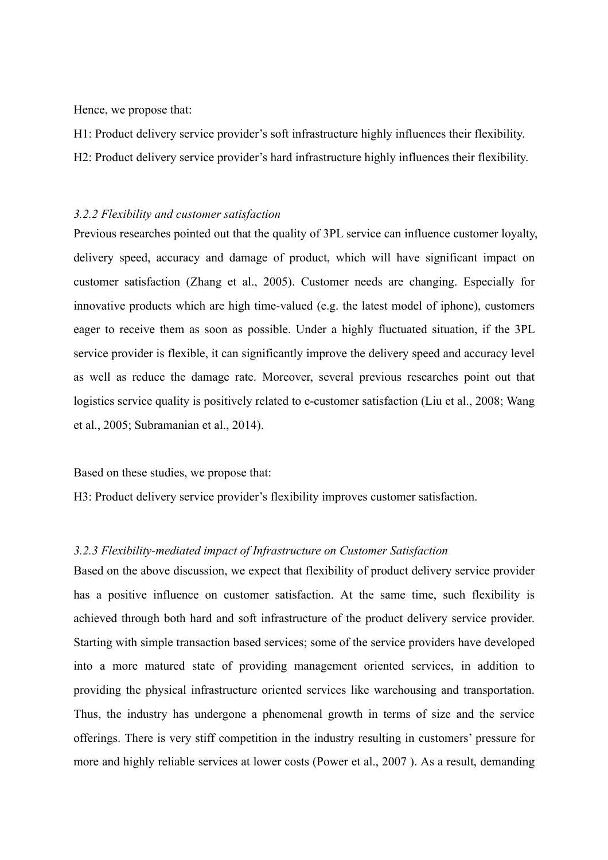Hence, we propose that:

H1: Product delivery service provider's soft infrastructure highly influences their flexibility.

H2: Product delivery service provider's hard infrastructure highly influences their flexibility.

### *3.2.2 Flexibility and customer satisfaction*

Previous researches pointed out that the quality of 3PL service can influence customer loyalty, delivery speed, accuracy and damage of product, which will have significant impact on customer satisfaction (Zhang et al., 2005). Customer needs are changing. Especially for innovative products which are high time-valued (e.g. the latest model of iphone), customers eager to receive them as soon as possible. Under a highly fluctuated situation, if the 3PL service provider is flexible, it can significantly improve the delivery speed and accuracy level as well as reduce the damage rate. Moreover, several previous researches point out that logistics service quality is positively related to e-customer satisfaction (Liu et al., 2008; Wang et al., 2005; Subramanian et al., 2014).

Based on these studies, we propose that:

H3: Product delivery service provider's flexibility improves customer satisfaction.

## *3.2.3 Flexibility-mediated impact of Infrastructure on Customer Satisfaction*

Based on the above discussion, we expect that flexibility of product delivery service provider has a positive influence on customer satisfaction. At the same time, such flexibility is achieved through both hard and soft infrastructure of the product delivery service provider. Starting with simple transaction based services; some of the service providers have developed into a more matured state of providing management oriented services, in addition to providing the physical infrastructure oriented services like warehousing and transportation. Thus, the industry has undergone a phenomenal growth in terms of size and the service offerings. There is very stiff competition in the industry resulting in customers' pressure for more and highly reliable services at lower costs (Power et al., 2007 ). As a result, demanding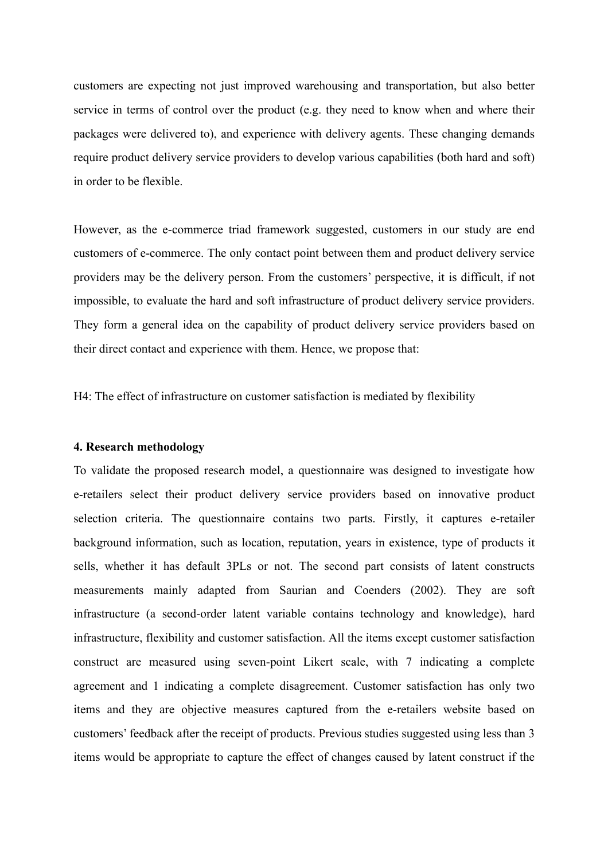customers are expecting not just improved warehousing and transportation, but also better service in terms of control over the product (e.g. they need to know when and where their packages were delivered to), and experience with delivery agents. These changing demands require product delivery service providers to develop various capabilities (both hard and soft) in order to be flexible.

However, as the e-commerce triad framework suggested, customers in our study are end customers of e-commerce. The only contact point between them and product delivery service providers may be the delivery person. From the customers' perspective, it is difficult, if not impossible, to evaluate the hard and soft infrastructure of product delivery service providers. They form a general idea on the capability of product delivery service providers based on their direct contact and experience with them. Hence, we propose that:

H4: The effect of infrastructure on customer satisfaction is mediated by flexibility

## **4. Research methodology**

To validate the proposed research model, a questionnaire was designed to investigate how e-retailers select their product delivery service providers based on innovative product selection criteria. The questionnaire contains two parts. Firstly, it captures e-retailer background information, such as location, reputation, years in existence, type of products it sells, whether it has default 3PLs or not. The second part consists of latent constructs measurements mainly adapted from Saurian and Coenders (2002). They are soft infrastructure (a second-order latent variable contains technology and knowledge), hard infrastructure, flexibility and customer satisfaction. All the items except customer satisfaction construct are measured using seven-point Likert scale, with 7 indicating a complete agreement and 1 indicating a complete disagreement. Customer satisfaction has only two items and they are objective measures captured from the e-retailers website based on customers' feedback after the receipt of products. Previous studies suggested using less than 3 items would be appropriate to capture the effect of changes caused by latent construct if the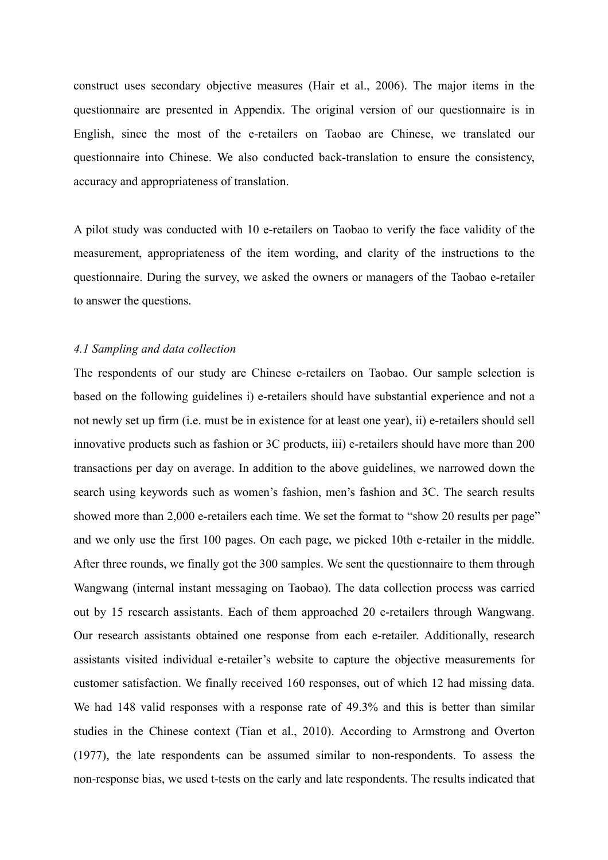construct uses secondary objective measures (Hair et al., 2006). The major items in the questionnaire are presented in Appendix. The original version of our questionnaire is in English, since the most of the e-retailers on Taobao are Chinese, we translated our questionnaire into Chinese. We also conducted back-translation to ensure the consistency, accuracy and appropriateness of translation.

A pilot study was conducted with 10 e-retailers on Taobao to verify the face validity of the measurement, appropriateness of the item wording, and clarity of the instructions to the questionnaire. During the survey, we asked the owners or managers of the Taobao e-retailer to answer the questions.

## *4.1 Sampling and data collection*

The respondents of our study are Chinese e-retailers on Taobao. Our sample selection is based on the following guidelines i) e-retailers should have substantial experience and not a not newly set up firm (i.e. must be in existence for at least one year), ii) e-retailers should sell innovative products such as fashion or 3C products, iii) e-retailers should have more than 200 transactions per day on average. In addition to the above guidelines, we narrowed down the search using keywords such as women's fashion, men's fashion and 3C. The search results showed more than 2,000 e-retailers each time. We set the format to "show 20 results per page" and we only use the first 100 pages. On each page, we picked 10th e-retailer in the middle. After three rounds, we finally got the 300 samples. We sent the questionnaire to them through Wangwang (internal instant messaging on Taobao). The data collection process was carried out by 15 research assistants. Each of them approached 20 e-retailers through Wangwang. Our research assistants obtained one response from each e-retailer. Additionally, research assistants visited individual e-retailer's website to capture the objective measurements for customer satisfaction. We finally received 160 responses, out of which 12 had missing data. We had 148 valid responses with a response rate of 49.3% and this is better than similar studies in the Chinese context (Tian et al., 2010). According to Armstrong and Overton (1977), the late respondents can be assumed similar to non-respondents. To assess the non-response bias, we used t-tests on the early and late respondents. The results indicated that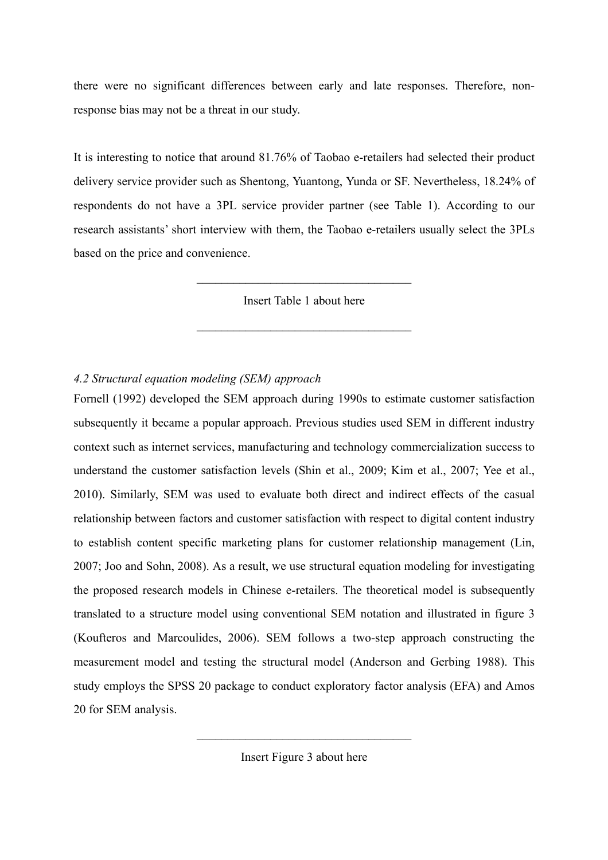there were no significant differences between early and late responses. Therefore, nonresponse bias may not be a threat in our study.

It is interesting to notice that around 81.76% of Taobao e-retailers had selected their product delivery service provider such as Shentong, Yuantong, Yunda or SF. Nevertheless, 18.24% of respondents do not have a 3PL service provider partner (see Table 1). According to our research assistants' short interview with them, the Taobao e-retailers usually select the 3PLs based on the price and convenience.

Insert Table 1 about here

 $\mathcal{L}_\text{max}$  , and the set of the set of the set of the set of the set of the set of the set of the set of the set of the set of the set of the set of the set of the set of the set of the set of the set of the set of the

 $\mathcal{L}_\text{max}$  , and the set of the set of the set of the set of the set of the set of the set of the set of the set of the set of the set of the set of the set of the set of the set of the set of the set of the set of the

# *4.2 Structural equation modeling (SEM) approach*

Fornell (1992) developed the SEM approach during 1990s to estimate customer satisfaction subsequently it became a popular approach. Previous studies used SEM in different industry context such as internet services, manufacturing and technology commercialization success to understand the customer satisfaction levels (Shin et al., 2009; Kim et al., 2007; Yee et al., 2010). Similarly, SEM was used to evaluate both direct and indirect effects of the casual relationship between factors and customer satisfaction with respect to digital content industry to establish content specific marketing plans for customer relationship management (Lin, 2007; Joo and Sohn, 2008). As a result, we use structural equation modeling for investigating the proposed research models in Chinese e-retailers. The theoretical model is subsequently translated to a structure model using conventional SEM notation and illustrated in figure 3 (Koufteros and Marcoulides, 2006). SEM follows a two-step approach constructing the measurement model and testing the structural model (Anderson and Gerbing 1988). This study employs the SPSS 20 package to conduct exploratory factor analysis (EFA) and Amos 20 for SEM analysis.

Insert Figure 3 about here

 $\mathcal{L}_\text{max}$  , and the set of the set of the set of the set of the set of the set of the set of the set of the set of the set of the set of the set of the set of the set of the set of the set of the set of the set of the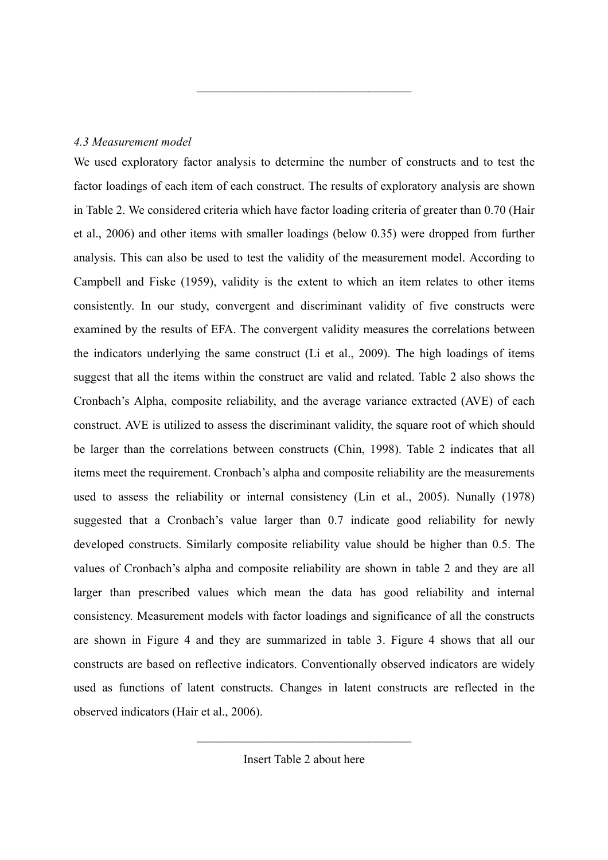# *4.3 Measurement model*

We used exploratory factor analysis to determine the number of constructs and to test the factor loadings of each item of each construct. The results of exploratory analysis are shown in Table 2. We considered criteria which have factor loading criteria of greater than 0.70 (Hair et al., 2006) and other items with smaller loadings (below 0.35) were dropped from further analysis. This can also be used to test the validity of the measurement model. According to Campbell and Fiske (1959), validity is the extent to which an item relates to other items consistently. In our study, convergent and discriminant validity of five constructs were examined by the results of EFA. The convergent validity measures the correlations between the indicators underlying the same construct (Li et al., 2009). The high loadings of items suggest that all the items within the construct are valid and related. Table 2 also shows the Cronbach's Alpha, composite reliability, and the average variance extracted (AVE) of each construct. AVE is utilized to assess the discriminant validity, the square root of which should be larger than the correlations between constructs (Chin, 1998). Table 2 indicates that all items meet the requirement. Cronbach's alpha and composite reliability are the measurements used to assess the reliability or internal consistency (Lin et al., 2005). Nunally (1978) suggested that a Cronbach's value larger than 0.7 indicate good reliability for newly developed constructs. Similarly composite reliability value should be higher than 0.5. The values of Cronbach's alpha and composite reliability are shown in table 2 and they are all larger than prescribed values which mean the data has good reliability and internal consistency. Measurement models with factor loadings and significance of all the constructs are shown in Figure 4 and they are summarized in table 3. Figure 4 shows that all our constructs are based on reflective indicators. Conventionally observed indicators are widely used as functions of latent constructs. Changes in latent constructs are reflected in the observed indicators (Hair et al., 2006).

 $\mathcal{L}_\text{max}$  , and the set of the set of the set of the set of the set of the set of the set of the set of the set of the set of the set of the set of the set of the set of the set of the set of the set of the set of the

Insert Table 2 about here

 $\mathcal{L}_\text{max}$  , and the set of the set of the set of the set of the set of the set of the set of the set of the set of the set of the set of the set of the set of the set of the set of the set of the set of the set of the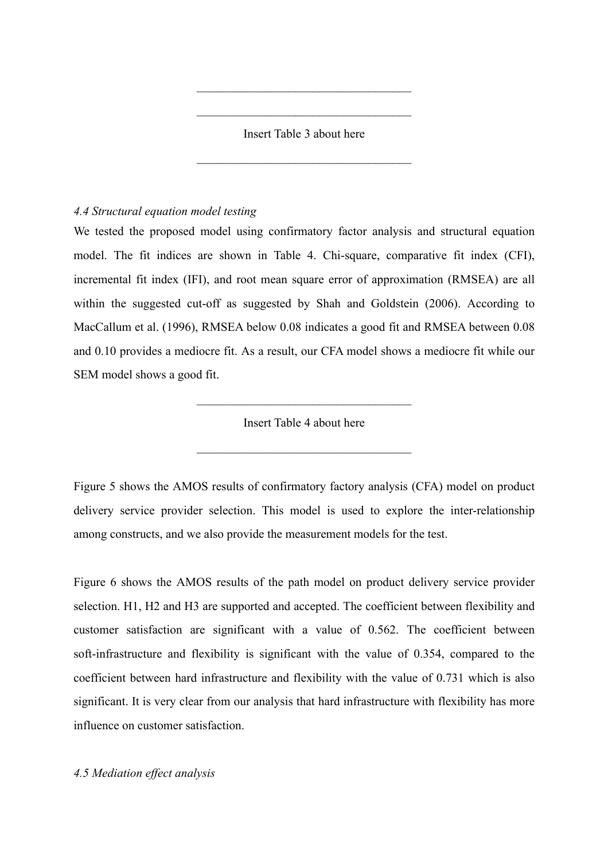Insert Table 3 about here

 $\mathcal{L}_\text{max}$  , and the set of the set of the set of the set of the set of the set of the set of the set of the set of the set of the set of the set of the set of the set of the set of the set of the set of the set of the

 $\mathcal{L}_\text{max}$  , and the set of the set of the set of the set of the set of the set of the set of the set of the set of the set of the set of the set of the set of the set of the set of the set of the set of the set of the

 $\mathcal{L}_\text{max}$  , and the set of the set of the set of the set of the set of the set of the set of the set of the set of the set of the set of the set of the set of the set of the set of the set of the set of the set of the

# *4.4 Structural equation model testing*

We tested the proposed model using confirmatory factor analysis and structural equation model. The fit indices are shown in Table 4. Chi-square, comparative fit index (CFI), incremental fit index (IFI), and root mean square error of approximation (RMSEA) are all within the suggested cut-off as suggested by Shah and Goldstein (2006). According to MacCallum et al. (1996), RMSEA below 0.08 indicates a good fit and RMSEA between 0.08 and 0.10 provides a mediocre fit. As a result, our CFA model shows a mediocre fit while our SEM model shows a good fit.

Insert Table 4 about here

 $\mathcal{L}_\text{max}$  , and the set of the set of the set of the set of the set of the set of the set of the set of the set of the set of the set of the set of the set of the set of the set of the set of the set of the set of the

 $\mathcal{L}_\text{max}$  , and the set of the set of the set of the set of the set of the set of the set of the set of the set of the set of the set of the set of the set of the set of the set of the set of the set of the set of the

Figure 5 shows the AMOS results of confirmatory factory analysis (CFA) model on product delivery service provider selection. This model is used to explore the inter-relationship among constructs, and we also provide the measurement models for the test.

Figure 6 shows the AMOS results of the path model on product delivery service provider selection. H1, H2 and H3 are supported and accepted. The coefficient between flexibility and customer satisfaction are significant with a value of 0.562. The coefficient between soft-infrastructure and flexibility is significant with the value of 0.354, compared to the coefficient between hard infrastructure and flexibility with the value of 0.731 which is also significant. It is very clear from our analysis that hard infrastructure with flexibility has more influence on customer satisfaction.

*4.5 Mediation effect analysis*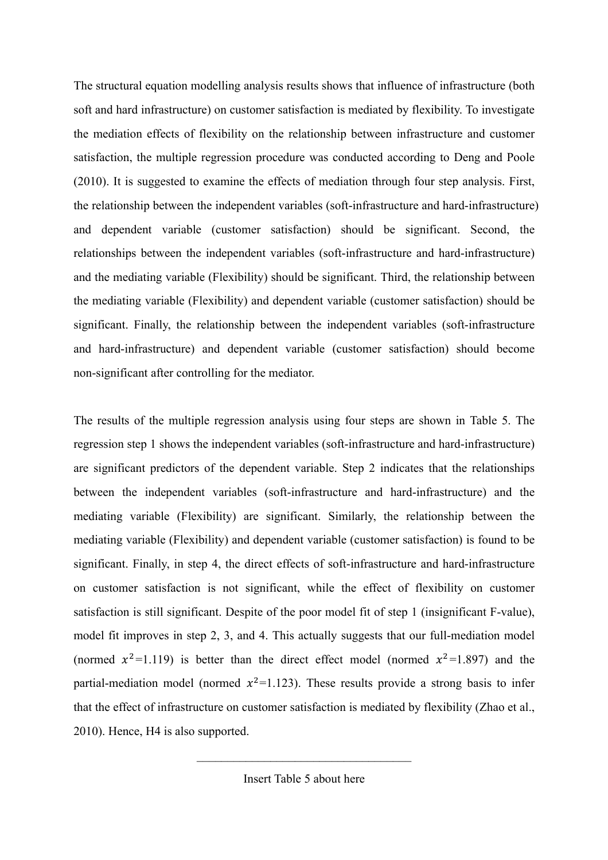The structural equation modelling analysis results shows that influence of infrastructure (both soft and hard infrastructure) on customer satisfaction is mediated by flexibility. To investigate the mediation effects of flexibility on the relationship between infrastructure and customer satisfaction, the multiple regression procedure was conducted according to Deng and Poole (2010). It is suggested to examine the effects of mediation through four step analysis. First, the relationship between the independent variables (soft-infrastructure and hard-infrastructure) and dependent variable (customer satisfaction) should be significant. Second, the relationships between the independent variables (soft-infrastructure and hard-infrastructure) and the mediating variable (Flexibility) should be significant. Third, the relationship between the mediating variable (Flexibility) and dependent variable (customer satisfaction) should be significant. Finally, the relationship between the independent variables (soft-infrastructure and hard-infrastructure) and dependent variable (customer satisfaction) should become non-significant after controlling for the mediator.

The results of the multiple regression analysis using four steps are shown in Table 5. The regression step 1 shows the independent variables (soft-infrastructure and hard-infrastructure) are significant predictors of the dependent variable. Step 2 indicates that the relationships between the independent variables (soft-infrastructure and hard-infrastructure) and the mediating variable (Flexibility) are significant. Similarly, the relationship between the mediating variable (Flexibility) and dependent variable (customer satisfaction) is found to be significant. Finally, in step 4, the direct effects of soft-infrastructure and hard-infrastructure on customer satisfaction is not significant, while the effect of flexibility on customer satisfaction is still significant. Despite of the poor model fit of step 1 (insignificant F-value), model fit improves in step 2, 3, and 4. This actually suggests that our full-mediation model (normed  $x^2$ =1.119) is better than the direct effect model (normed  $x^2$ =1.897) and the partial-mediation model (normed  $x^2$ =1.123). These results provide a strong basis to infer that the effect of infrastructure on customer satisfaction is mediated by flexibility (Zhao et al., 2010). Hence, H4 is also supported.

 $\mathcal{L}_\text{max}$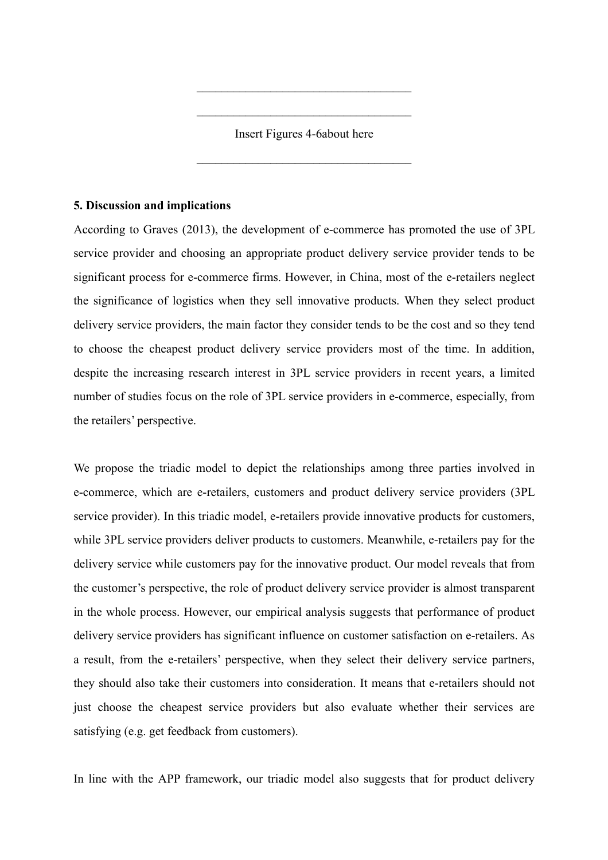Insert Figures 4-6about here

 $\mathcal{L}_\text{max}$  , and the set of the set of the set of the set of the set of the set of the set of the set of the set of the set of the set of the set of the set of the set of the set of the set of the set of the set of the

 $\mathcal{L}_\text{max}$  , and the set of the set of the set of the set of the set of the set of the set of the set of the set of the set of the set of the set of the set of the set of the set of the set of the set of the set of the

 $\mathcal{L}_\text{max}$  , and the set of the set of the set of the set of the set of the set of the set of the set of the set of the set of the set of the set of the set of the set of the set of the set of the set of the set of the

## **5. Discussion and implications**

According to Graves (2013), the development of e-commerce has promoted the use of 3PL service provider and choosing an appropriate product delivery service provider tends to be significant process for e-commerce firms. However, in China, most of the e-retailers neglect the significance of logistics when they sell innovative products. When they select product delivery service providers, the main factor they consider tends to be the cost and so they tend to choose the cheapest product delivery service providers most of the time. In addition, despite the increasing research interest in 3PL service providers in recent years, a limited number of studies focus on the role of 3PL service providers in e-commerce, especially, from the retailers' perspective.

We propose the triadic model to depict the relationships among three parties involved in e-commerce, which are e-retailers, customers and product delivery service providers (3PL service provider). In this triadic model, e-retailers provide innovative products for customers, while 3PL service providers deliver products to customers. Meanwhile, e-retailers pay for the delivery service while customers pay for the innovative product. Our model reveals that from the customer's perspective, the role of product delivery service provider is almost transparent in the whole process. However, our empirical analysis suggests that performance of product delivery service providers has significant influence on customer satisfaction on e-retailers. As a result, from the e-retailers' perspective, when they select their delivery service partners, they should also take their customers into consideration. It means that e-retailers should not just choose the cheapest service providers but also evaluate whether their services are satisfying (e.g. get feedback from customers).

In line with the APP framework, our triadic model also suggests that for product delivery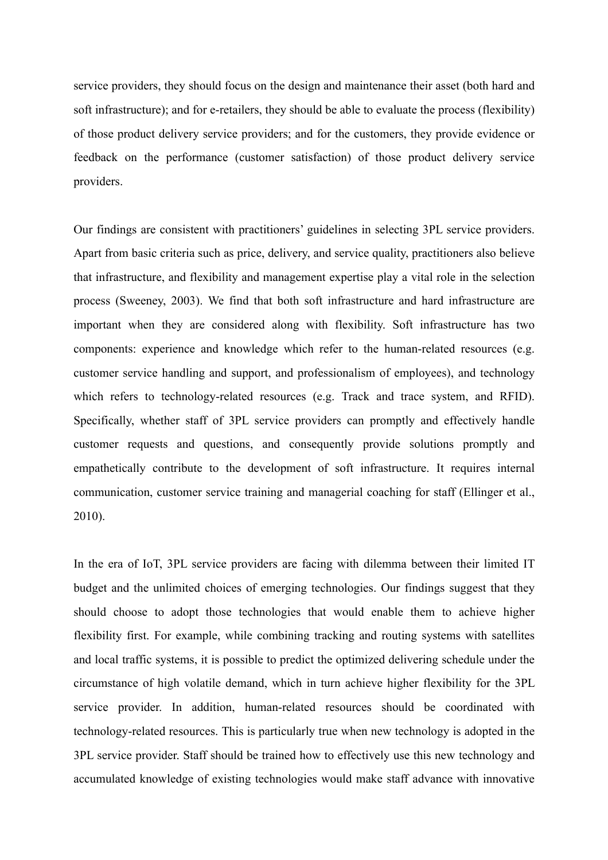service providers, they should focus on the design and maintenance their asset (both hard and soft infrastructure); and for e-retailers, they should be able to evaluate the process (flexibility) of those product delivery service providers; and for the customers, they provide evidence or feedback on the performance (customer satisfaction) of those product delivery service providers.

Our findings are consistent with practitioners' guidelines in selecting 3PL service providers. Apart from basic criteria such as price, delivery, and service quality, practitioners also believe that infrastructure, and flexibility and management expertise play a vital role in the selection process (Sweeney, 2003). We find that both soft infrastructure and hard infrastructure are important when they are considered along with flexibility. Soft infrastructure has two components: experience and knowledge which refer to the human-related resources (e.g. customer service handling and support, and professionalism of employees), and technology which refers to technology-related resources (e.g. Track and trace system, and RFID). Specifically, whether staff of 3PL service providers can promptly and effectively handle customer requests and questions, and consequently provide solutions promptly and empathetically contribute to the development of soft infrastructure. It requires internal communication, customer service training and managerial coaching for staff (Ellinger et al., 2010).

In the era of IoT, 3PL service providers are facing with dilemma between their limited IT budget and the unlimited choices of emerging technologies. Our findings suggest that they should choose to adopt those technologies that would enable them to achieve higher flexibility first. For example, while combining tracking and routing systems with satellites and local traffic systems, it is possible to predict the optimized delivering schedule under the circumstance of high volatile demand, which in turn achieve higher flexibility for the 3PL service provider. In addition, human-related resources should be coordinated with technology-related resources. This is particularly true when new technology is adopted in the 3PL service provider. Staff should be trained how to effectively use this new technology and accumulated knowledge of existing technologies would make staff advance with innovative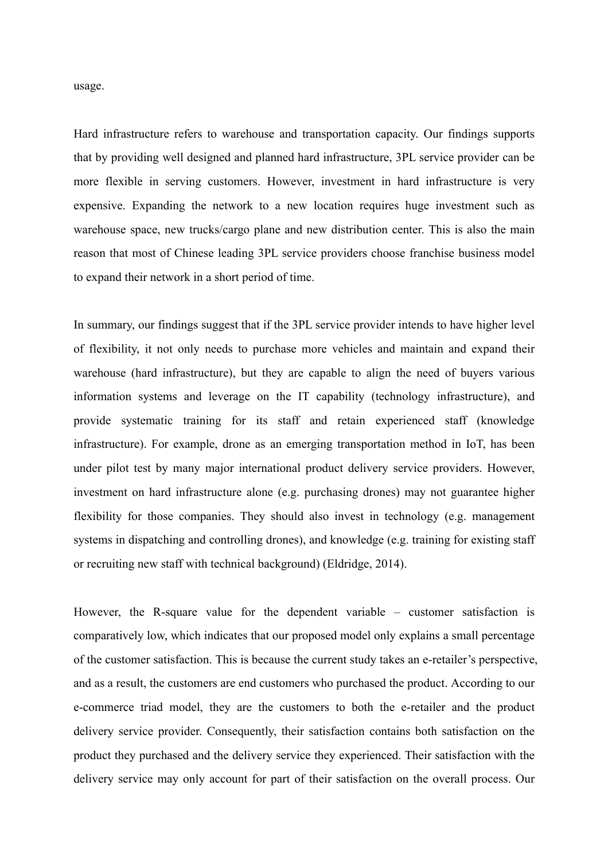usage.

Hard infrastructure refers to warehouse and transportation capacity. Our findings supports that by providing well designed and planned hard infrastructure, 3PL service provider can be more flexible in serving customers. However, investment in hard infrastructure is very expensive. Expanding the network to a new location requires huge investment such as warehouse space, new trucks/cargo plane and new distribution center. This is also the main reason that most of Chinese leading 3PL service providers choose franchise business model to expand their network in a short period of time.

In summary, our findings suggest that if the 3PL service provider intends to have higher level of flexibility, it not only needs to purchase more vehicles and maintain and expand their warehouse (hard infrastructure), but they are capable to align the need of buyers various information systems and leverage on the IT capability (technology infrastructure), and provide systematic training for its staff and retain experienced staff (knowledge infrastructure). For example, drone as an emerging transportation method in IoT, has been under pilot test by many major international product delivery service providers. However, investment on hard infrastructure alone (e.g. purchasing drones) may not guarantee higher flexibility for those companies. They should also invest in technology (e.g. management systems in dispatching and controlling drones), and knowledge (e.g. training for existing staff or recruiting new staff with technical background) (Eldridge, 2014).

However, the R-square value for the dependent variable – customer satisfaction is comparatively low, which indicates that our proposed model only explains a small percentage of the customer satisfaction. This is because the current study takes an e-retailer's perspective, and as a result, the customers are end customers who purchased the product. According to our e-commerce triad model, they are the customers to both the e-retailer and the product delivery service provider. Consequently, their satisfaction contains both satisfaction on the product they purchased and the delivery service they experienced. Their satisfaction with the delivery service may only account for part of their satisfaction on the overall process. Our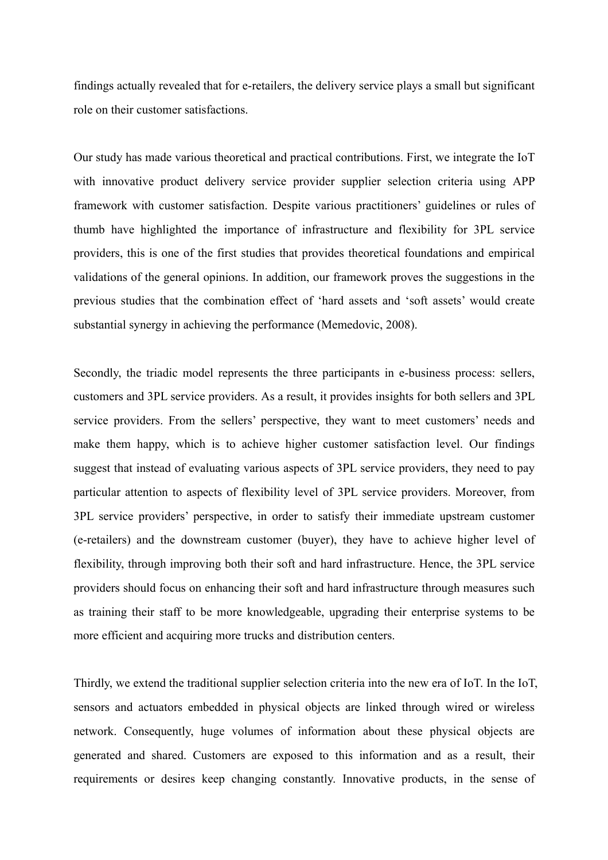findings actually revealed that for e-retailers, the delivery service plays a small but significant role on their customer satisfactions.

Our study has made various theoretical and practical contributions. First, we integrate the IoT with innovative product delivery service provider supplier selection criteria using APP framework with customer satisfaction. Despite various practitioners' guidelines or rules of thumb have highlighted the importance of infrastructure and flexibility for 3PL service providers, this is one of the first studies that provides theoretical foundations and empirical validations of the general opinions. In addition, our framework proves the suggestions in the previous studies that the combination effect of 'hard assets and 'soft assets' would create substantial synergy in achieving the performance (Memedovic, 2008).

Secondly, the triadic model represents the three participants in e-business process: sellers, customers and 3PL service providers. As a result, it provides insights for both sellers and 3PL service providers. From the sellers' perspective, they want to meet customers' needs and make them happy, which is to achieve higher customer satisfaction level. Our findings suggest that instead of evaluating various aspects of 3PL service providers, they need to pay particular attention to aspects of flexibility level of 3PL service providers. Moreover, from 3PL service providers' perspective, in order to satisfy their immediate upstream customer (e-retailers) and the downstream customer (buyer), they have to achieve higher level of flexibility, through improving both their soft and hard infrastructure. Hence, the 3PL service providers should focus on enhancing their soft and hard infrastructure through measures such as training their staff to be more knowledgeable, upgrading their enterprise systems to be more efficient and acquiring more trucks and distribution centers.

Thirdly, we extend the traditional supplier selection criteria into the new era of IoT. In the IoT, sensors and actuators embedded in physical objects are linked through wired or wireless network. Consequently, huge volumes of information about these physical objects are generated and shared. Customers are exposed to this information and as a result, their requirements or desires keep changing constantly. Innovative products, in the sense of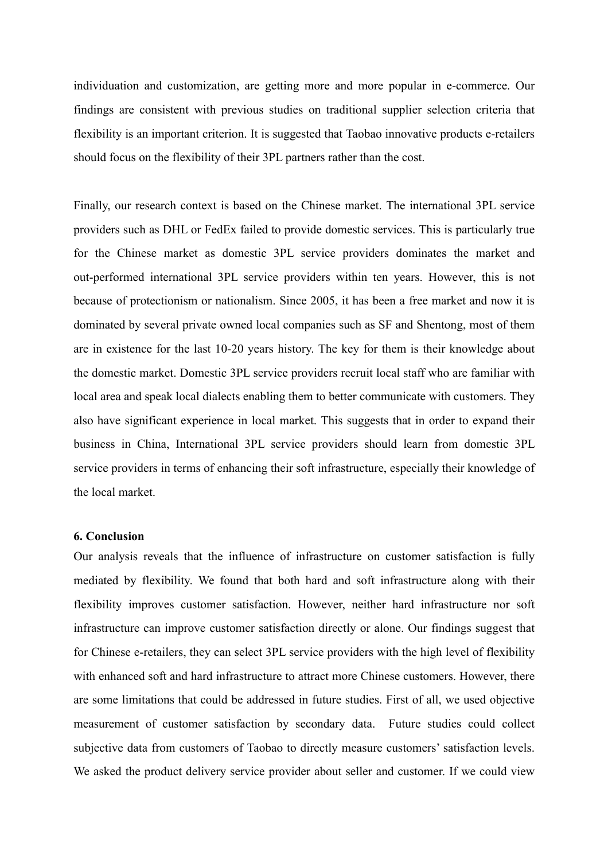individuation and customization, are getting more and more popular in e-commerce. Our findings are consistent with previous studies on traditional supplier selection criteria that flexibility is an important criterion. It is suggested that Taobao innovative products e-retailers should focus on the flexibility of their 3PL partners rather than the cost.

Finally, our research context is based on the Chinese market. The international 3PL service providers such as DHL or FedEx failed to provide domestic services. This is particularly true for the Chinese market as domestic 3PL service providers dominates the market and out-performed international 3PL service providers within ten years. However, this is not because of protectionism or nationalism. Since 2005, it has been a free market and now it is dominated by several private owned local companies such as SF and Shentong, most of them are in existence for the last 10-20 years history. The key for them is their knowledge about the domestic market. Domestic 3PL service providers recruit local staff who are familiar with local area and speak local dialects enabling them to better communicate with customers. They also have significant experience in local market. This suggests that in order to expand their business in China, International 3PL service providers should learn from domestic 3PL service providers in terms of enhancing their soft infrastructure, especially their knowledge of the local market.

# **6. Conclusion**

Our analysis reveals that the influence of infrastructure on customer satisfaction is fully mediated by flexibility. We found that both hard and soft infrastructure along with their flexibility improves customer satisfaction. However, neither hard infrastructure nor soft infrastructure can improve customer satisfaction directly or alone. Our findings suggest that for Chinese e-retailers, they can select 3PL service providers with the high level of flexibility with enhanced soft and hard infrastructure to attract more Chinese customers. However, there are some limitations that could be addressed in future studies. First of all, we used objective measurement of customer satisfaction by secondary data. Future studies could collect subjective data from customers of Taobao to directly measure customers' satisfaction levels. We asked the product delivery service provider about seller and customer. If we could view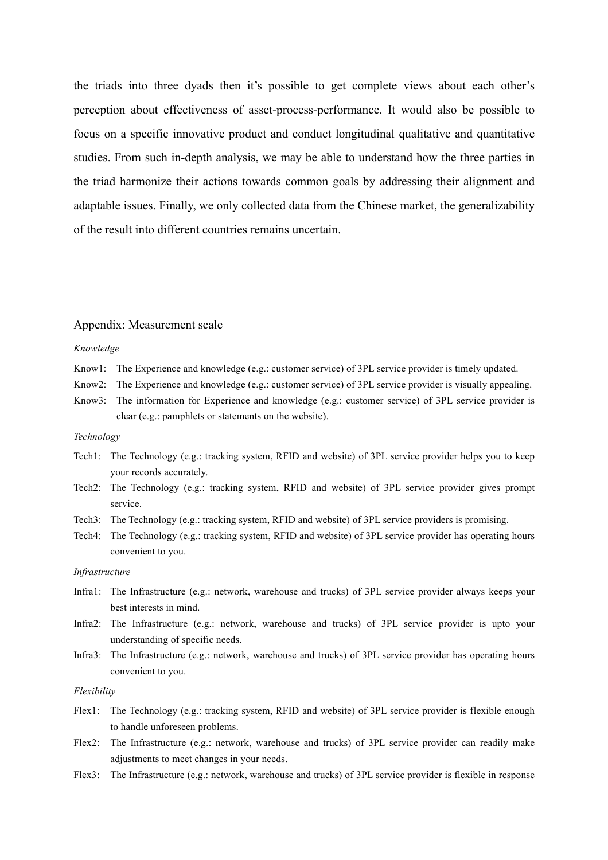the triads into three dyads then it's possible to get complete views about each other's perception about effectiveness of asset-process-performance. It would also be possible to focus on a specific innovative product and conduct longitudinal qualitative and quantitative studies. From such in-depth analysis, we may be able to understand how the three parties in the triad harmonize their actions towards common goals by addressing their alignment and adaptable issues. Finally, we only collected data from the Chinese market, the generalizability of the result into different countries remains uncertain.

### Appendix: Measurement scale

#### *Knowledge*

- Know1: The Experience and knowledge (e.g.: customer service) of 3PL service provider is timely updated.
- Know2: The Experience and knowledge (e.g.: customer service) of 3PL service provider is visually appealing.
- Know3: The information for Experience and knowledge (e.g.: customer service) of 3PL service provider is clear (e.g.: pamphlets or statements on the website).

### *Technology*

- Tech1: The Technology (e.g.: tracking system, RFID and website) of 3PL service provider helps you to keep your records accurately.
- Tech2: The Technology (e.g.: tracking system, RFID and website) of 3PL service provider gives prompt service.
- Tech3: The Technology (e.g.: tracking system, RFID and website) of 3PL service providers is promising.
- Tech4: The Technology (e.g.: tracking system, RFID and website) of 3PL service provider has operating hours convenient to you.

#### *Infrastructure*

- Infra1: The Infrastructure (e.g.: network, warehouse and trucks) of 3PL service provider always keeps your best interests in mind.
- Infra2: The Infrastructure (e.g.: network, warehouse and trucks) of 3PL service provider is upto your understanding of specific needs.
- Infra3: The Infrastructure (e.g.: network, warehouse and trucks) of 3PL service provider has operating hours convenient to you.

### *Flexibility*

- Flex1: The Technology (e.g.: tracking system, RFID and website) of 3PL service provider is flexible enough to handle unforeseen problems.
- Flex2: The Infrastructure (e.g.: network, warehouse and trucks) of 3PL service provider can readily make adjustments to meet changes in your needs.
- Flex3: The Infrastructure (e.g.: network, warehouse and trucks) of 3PL service provider is flexible in response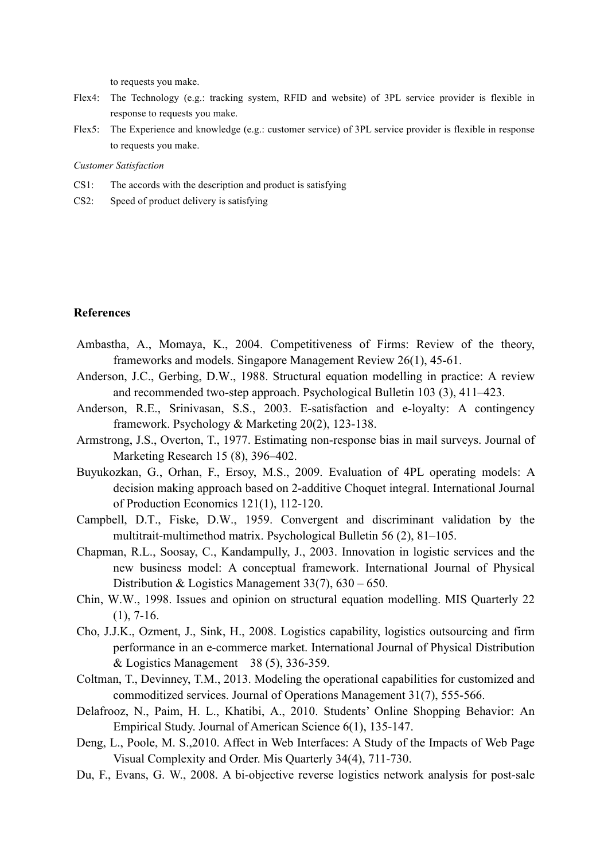to requests you make.

- Flex4: The Technology (e.g.: tracking system, RFID and website) of 3PL service provider is flexible in response to requests you make.
- Flex5: The Experience and knowledge (e.g.: customer service) of 3PL service provider is flexible in response to requests you make.

#### *Customer Satisfaction*

- CS1: The accords with the description and product is satisfying
- CS2: Speed of product delivery is satisfying

# **References**

- Ambastha, A., Momaya, K., 2004. Competitiveness of Firms: Review of the theory, frameworks and models. Singapore Management Review 26(1), 45-61.
- Anderson, J.C., Gerbing, D.W., 1988. Structural equation modelling in practice: A review and recommended two-step approach. Psychological Bulletin 103 (3), 411–423.
- Anderson, R.E., Srinivasan, S.S., 2003. E-satisfaction and e-loyalty: A contingency framework. Psychology & Marketing 20(2), 123-138.
- Armstrong, J.S., Overton, T., 1977. Estimating non-response bias in mail surveys. Journal of Marketing Research 15 (8), 396–402.
- Buyukozkan, G., Orhan, F., Ersoy, M.S., 2009. Evaluation of 4PL operating models: A decision making approach based on 2-additive Choquet integral. International Journal of Production Economics 121(1), 112-120.
- Campbell, D.T., Fiske, D.W., 1959. Convergent and discriminant validation by the multitrait-multimethod matrix. Psychological Bulletin 56 (2), 81–105.
- Chapman, R.L., Soosay, C., Kandampully, J., 2003. Innovation in logistic services and the new business model: A conceptual framework. International Journal of Physical Distribution & Logistics Management 33(7), 630 – 650.
- Chin, W.W., 1998. Issues and opinion on structural equation modelling. MIS Quarterly 22  $(1), 7-16.$
- Cho, J.J.K., Ozment, J., Sink, H., 2008. Logistics capability, logistics outsourcing and firm performance in an e-commerce market. International Journal of Physical Distribution & Logistics Management 38 (5), 336-359.
- Coltman, T., Devinney, T.M., 2013. Modeling the operational capabilities for customized and commoditized services. Journal of Operations Management 31(7), 555-566.
- Delafrooz, N., Paim, H. L., Khatibi, A., 2010. Students' Online Shopping Behavior: An Empirical Study. Journal of American Science 6(1), 135-147.
- Deng, L., Poole, M. S.,2010. Affect in Web Interfaces: A Study of the Impacts of Web Page Visual Complexity and Order. Mis Quarterly 34(4), 711-730.
- Du, F., Evans, G. W., 2008. A bi-objective reverse logistics network analysis for post-sale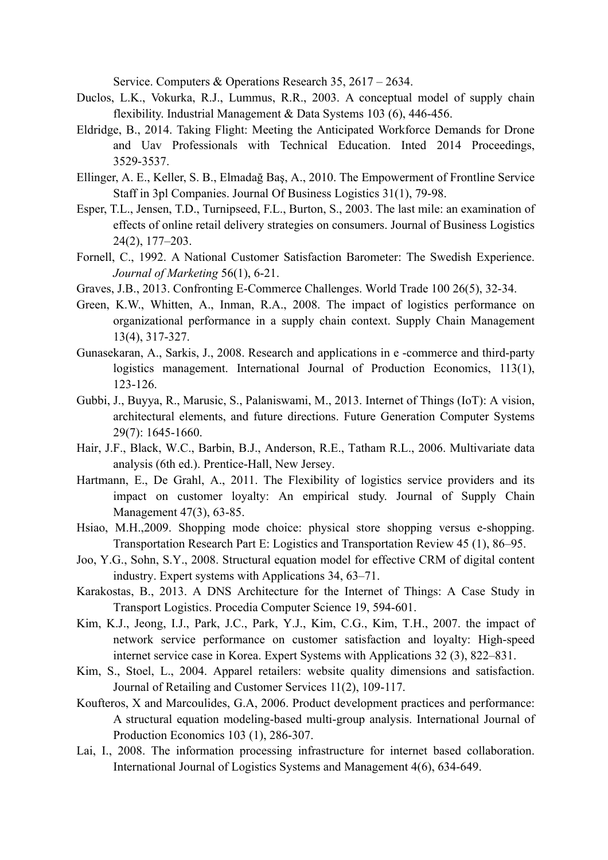Service. Computers & Operations Research 35, 2617 – 2634.

- Duclos, L.K., Vokurka, R.J., Lummus, R.R., 2003. A conceptual model of supply chain flexibility. Industrial Management & Data Systems 103 (6), 446-456.
- Eldridge, B., 2014. Taking Flight: Meeting the Anticipated Workforce Demands for Drone and Uav Professionals with Technical Education. Inted 2014 Proceedings, 3529-3537.
- Ellinger, A. E., Keller, S. B., Elmadağ Baş, A., 2010. The Empowerment of Frontline Service Staff in 3pl Companies. Journal Of Business Logistics 31(1), 79-98.
- Esper, T.L., Jensen, T.D., Turnipseed, F.L., Burton, S., 2003. The last mile: an examination of effects of online retail delivery strategies on consumers. Journal of Business Logistics 24(2), 177–203.
- Fornell, C., 1992. A National Customer Satisfaction Barometer: The Swedish Experience. *Journal of Marketing* 56(1), 6-21.
- Graves, J.B., 2013. Confronting E-Commerce Challenges. World Trade 100 26(5), 32-34.
- Green, K.W., Whitten, A., Inman, R.A., 2008. The impact of logistics performance on organizational performance in a supply chain context. Supply Chain Management 13(4), 317-327.
- Gunasekaran, A., Sarkis, J., 2008. Research and applications in e -commerce and third-party logistics management. International Journal of Production Economics, 113(1), 123-126.
- Gubbi, J., Buyya, R., Marusic, S., Palaniswami, M., 2013. Internet of Things (IoT): A vision, architectural elements, and future directions. Future Generation Computer Systems 29(7): 1645-1660.
- Hair, J.F., Black, W.C., Barbin, B.J., Anderson, R.E., Tatham R.L., 2006. Multivariate data analysis (6th ed.). Prentice-Hall, New Jersey.
- Hartmann, E., De Grahl, A., 2011. The Flexibility of logistics service providers and its impact on customer loyalty: An empirical study. Journal of Supply Chain Management 47(3), 63-85.
- Hsiao, M.H.,2009. Shopping mode choice: physical store shopping versus e-shopping. Transportation Research Part E: Logistics and Transportation Review 45 (1), 86–95.
- Joo, Y.G., Sohn, S.Y., 2008. Structural equation model for effective CRM of digital content industry. Expert systems with Applications 34, 63–71.
- Karakostas, B., 2013. A DNS Architecture for the Internet of Things: A Case Study in Transport Logistics. Procedia Computer Science 19, 594-601.
- Kim, K.J., Jeong, I.J., Park, J.C., Park, Y.J., Kim, C.G., Kim, T.H., 2007. the impact of network service performance on customer satisfaction and loyalty: High-speed internet service case in Korea. Expert Systems with Applications 32 (3), 822–831.
- Kim, S., Stoel, L., 2004. Apparel retailers: website quality dimensions and satisfaction. Journal of Retailing and Customer Services 11(2), 109-117.
- Koufteros, X and Marcoulides, G.A, 2006. Product development practices and performance: A structural equation modeling-based multi-group analysis. International Journal of Production Economics 103 (1), 286-307.
- Lai, I., 2008. The information processing infrastructure for internet based collaboration. International Journal of Logistics Systems and Management 4(6), 634-649.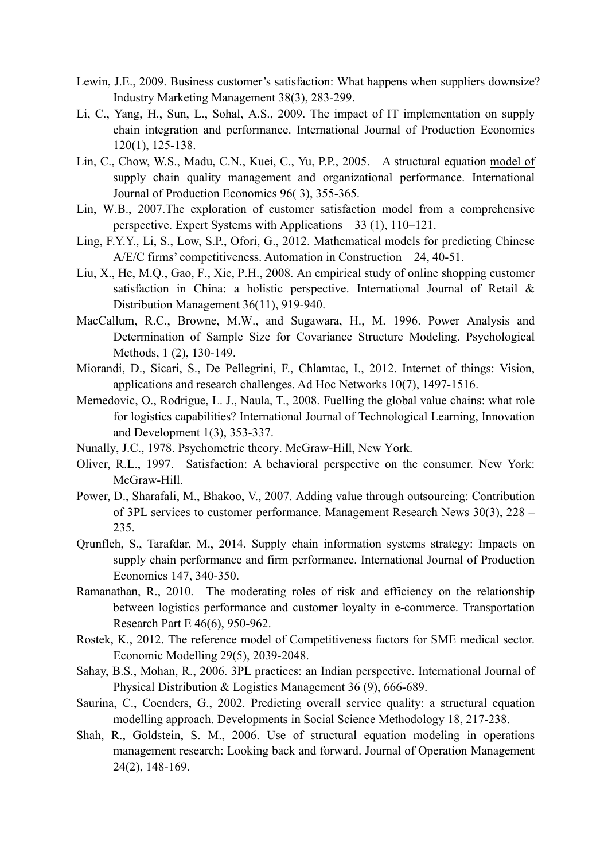- Lewin, J.E., 2009. Business customer's satisfaction: What happens when suppliers downsize? Industry Marketing Management 38(3), 283-299.
- Li, C., Yang, H., Sun, L., Sohal, A.S., 2009. The impact of IT implementation on supply chain integration and performance. International Journal of Production Economics 120(1), 125-138.
- Lin, C., Chow, W.S., Madu, C.N., Kuei, C., Yu, P.P., 2005. A structural equation model of supply chain quality management and organizational performance. International Journal of Production Economics 96( 3), 355-365.
- Lin, W.B., 2007.The exploration of customer satisfaction model from a comprehensive perspective. Expert Systems with Applications 33 (1), 110–121.
- Ling, F.Y.Y., Li, S., Low, S.P., Ofori, G., 2012. Mathematical models for predicting Chinese A/E/C firms' competitiveness. Automation in Construction 24, 40-51.
- Liu, X., He, M.Q., Gao, F., Xie, P.H., 2008. An empirical study of online shopping customer satisfaction in China: a holistic perspective. International Journal of Retail & Distribution Management 36(11), 919-940.
- MacCallum, R.C., Browne, M.W., and Sugawara, H., M. 1996. Power Analysis and Determination of Sample Size for Covariance Structure Modeling. Psychological Methods, 1 (2), 130-149.
- Miorandi, D., Sicari, S., De Pellegrini, F., Chlamtac, I., 2012. Internet of things: Vision, applications and research challenges. Ad Hoc Networks 10(7), 1497-1516.
- Memedovic, O., Rodrigue, L. J., Naula, T., 2008. Fuelling the global value chains: what role for logistics capabilities? International Journal of Technological Learning, Innovation and Development 1(3), 353-337.
- Nunally, J.C., 1978. Psychometric theory. McGraw-Hill, New York.
- Oliver, R.L., 1997. Satisfaction: A behavioral perspective on the consumer. New York: McGraw-Hill.
- Power, D., Sharafali, M., Bhakoo, V., 2007. Adding value through outsourcing: Contribution of 3PL services to customer performance. Management Research News 30(3), 228 – 235.
- Qrunfleh, S., Tarafdar, M., 2014. Supply chain information systems strategy: Impacts on supply chain performance and firm performance. International Journal of Production Economics 147, 340-350.
- Ramanathan, R., 2010. The moderating roles of risk and efficiency on the relationship between logistics performance and customer loyalty in e-commerce. Transportation Research Part E 46(6), 950-962.
- Rostek, K., 2012. The reference model of Competitiveness factors for SME medical sector. Economic Modelling 29(5), 2039-2048.
- Sahay, B.S., Mohan, R., 2006. 3PL practices: an Indian perspective. International Journal of Physical Distribution & Logistics Management 36 (9), 666-689.
- Saurina, C., Coenders, G., 2002. Predicting overall service quality: a structural equation modelling approach. Developments in Social Science Methodology 18, 217-238.
- Shah, R., Goldstein, S. M., 2006. Use of structural equation modeling in operations management research: Looking back and forward. Journal of Operation Management 24(2), 148-169.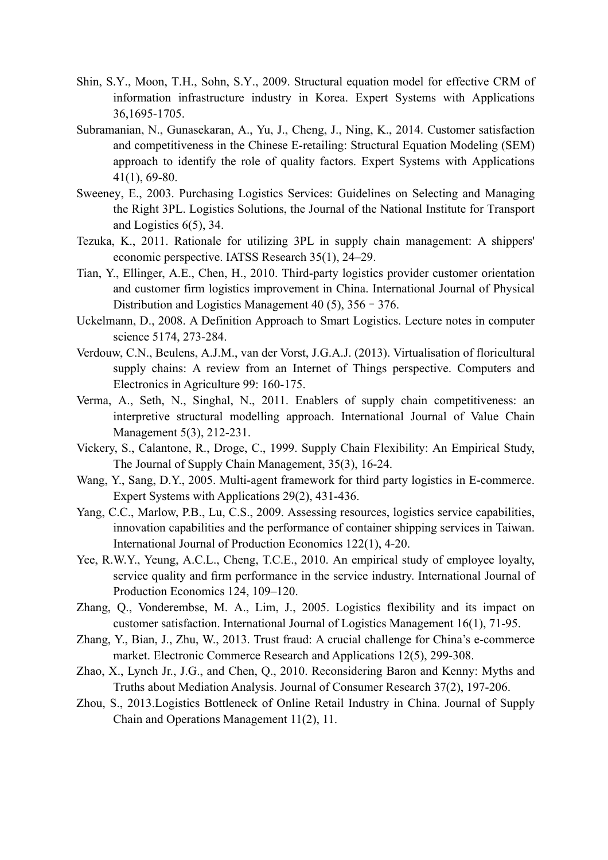- Shin, S.Y., Moon, T.H., Sohn, S.Y., 2009. Structural equation model for effective CRM of information infrastructure industry in Korea. Expert Systems with Applications 36,1695-1705.
- Subramanian, N., Gunasekaran, A., Yu, J., Cheng, J., Ning, K., 2014. Customer satisfaction and competitiveness in the Chinese E-retailing: Structural Equation Modeling (SEM) approach to identify the role of quality factors. Expert Systems with Applications 41(1), 69-80.
- Sweeney, E., 2003. Purchasing Logistics Services: Guidelines on Selecting and Managing the Right 3PL. Logistics Solutions, the Journal of the National Institute for Transport and Logistics 6(5), 34.
- Tezuka, K., 2011. Rationale for utilizing 3PL in supply chain management: A shippers' economic perspective. IATSS Research 35(1), 24–29.
- Tian, Y., Ellinger, A.E., Chen, H., 2010. Third-party logistics provider customer orientation and customer firm logistics improvement in China. International Journal of Physical Distribution and Logistics Management 40 (5), 356–376.
- Uckelmann, D., 2008. A Definition Approach to Smart Logistics. Lecture notes in computer science 5174, 273-284.
- Verdouw, C.N., Beulens, A.J.M., van der Vorst, J.G.A.J. (2013). Virtualisation of floricultural supply chains: A review from an Internet of Things perspective. Computers and Electronics in Agriculture 99: 160-175.
- Verma, A., Seth, N., Singhal, N., 2011. Enablers of supply chain competitiveness: an interpretive structural modelling approach. International Journal of Value Chain Management 5(3), 212-231.
- Vickery, S., Calantone, R., Droge, C., 1999. Supply Chain Flexibility: An Empirical Study, The Journal of Supply Chain Management, 35(3), 16-24.
- Wang, Y., Sang, D.Y., 2005. Multi-agent framework for third party logistics in E-commerce. Expert Systems with Applications 29(2), 431-436.
- Yang, C.C., Marlow, P.B., Lu, C.S., 2009. Assessing resources, logistics service capabilities, innovation capabilities and the performance of container shipping services in Taiwan. International Journal of Production Economics 122(1), 4-20.
- Yee, R.W.Y., Yeung, A.C.L., Cheng, T.C.E., 2010. An empirical study of employee loyalty, service quality and firm performance in the service industry. International Journal of Production Economics 124, 109–120.
- Zhang, Q., Vonderembse, M. A., Lim, J., 2005. Logistics flexibility and its impact on customer satisfaction. International Journal of Logistics Management 16(1), 71-95.
- Zhang, Y., Bian, J., Zhu, W., 2013. Trust fraud: A crucial challenge for China's e-commerce market. Electronic Commerce Research and Applications 12(5), 299-308.
- Zhao, X., Lynch Jr., J.G., and Chen, Q., 2010. Reconsidering Baron and Kenny: Myths and Truths about Mediation Analysis. Journal of Consumer Research 37(2), 197-206.
- Zhou, S., 2013.Logistics Bottleneck of Online Retail Industry in China. Journal of Supply Chain and Operations Management 11(2), 11.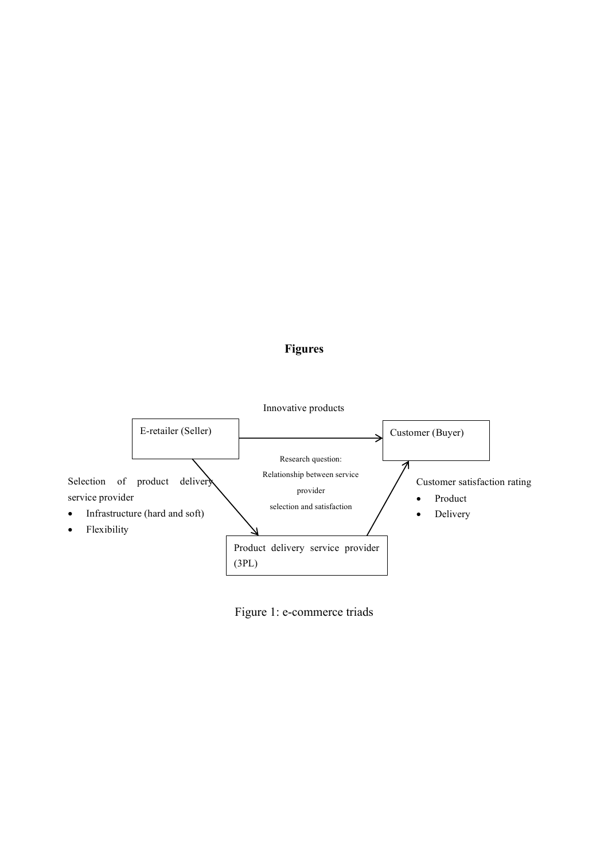# **Figures**



Figure 1: e-commerce triads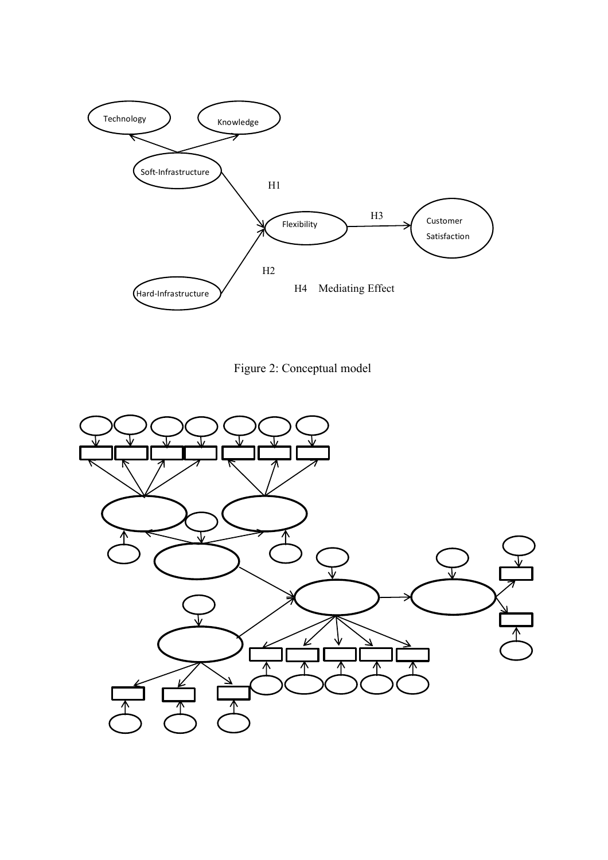

Figure 2: Conceptual model

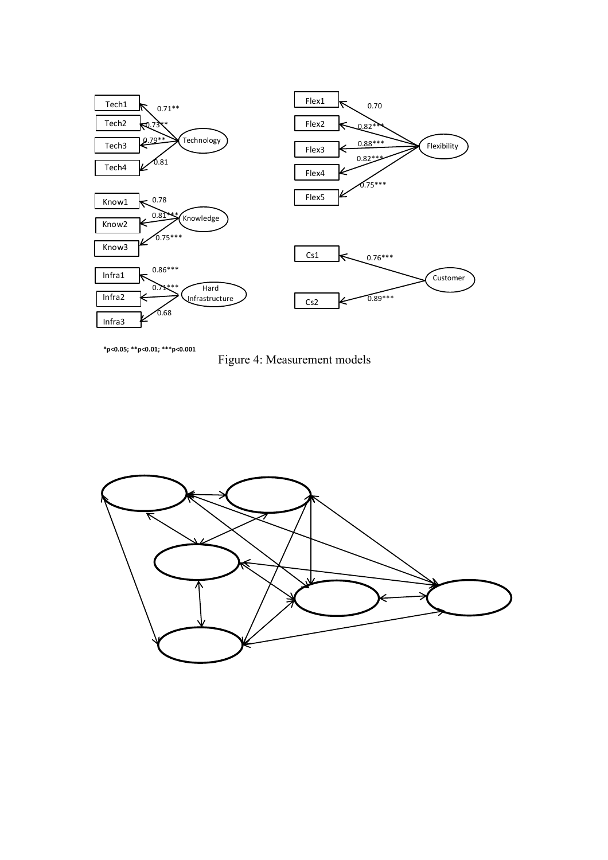

**\*p<0.05; \*\*p<0.01; \*\*\*p<0.001**

Figure 4: Measurement models

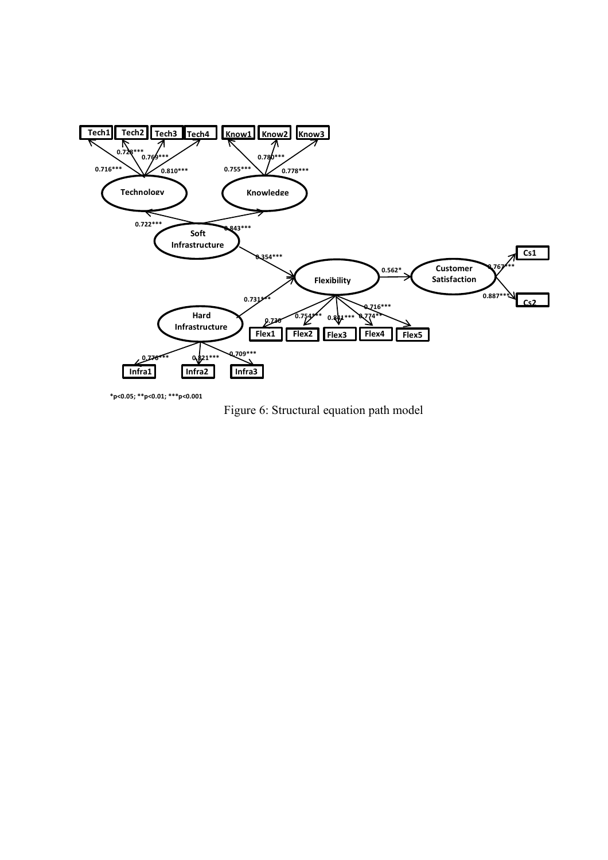

**\*p<0.05; \*\*p<0.01; \*\*\*p<0.001**

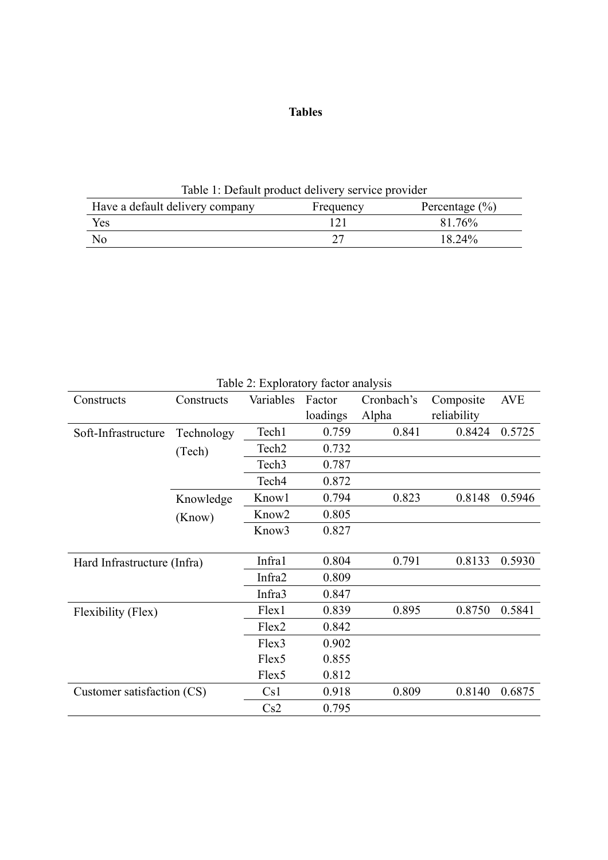# **Tables**

Table 1: Default product delivery service provider Have a default delivery company Frequency Percentage (%)

Yes 121 81.76% No 27 18.24%

| Table 2: Exploratory factor analysis |            |                   |          |            |             |            |  |
|--------------------------------------|------------|-------------------|----------|------------|-------------|------------|--|
| Constructs                           | Constructs | Variables         | Factor   | Cronbach's | Composite   | <b>AVE</b> |  |
|                                      |            |                   | loadings | Alpha      | reliability |            |  |
| Soft-Infrastructure                  | Technology | Tech1             | 0.759    | 0.841      | 0.8424      | 0.5725     |  |
|                                      | (Tech)     | Tech <sub>2</sub> | 0.732    |            |             |            |  |
|                                      |            | Tech <sub>3</sub> | 0.787    |            |             |            |  |
|                                      |            | Tech <sub>4</sub> | 0.872    |            |             |            |  |
|                                      | Knowledge  | Know1             | 0.794    | 0.823      | 0.8148      | 0.5946     |  |
|                                      | (Know)     | Know <sub>2</sub> | 0.805    |            |             |            |  |
|                                      |            | Know <sub>3</sub> | 0.827    |            |             |            |  |
|                                      |            |                   |          |            |             |            |  |
| Hard Infrastructure (Infra)          |            | Infra1            | 0.804    | 0.791      | 0.8133      | 0.5930     |  |
|                                      |            | Infra2            | 0.809    |            |             |            |  |
|                                      |            | Infra3            | 0.847    |            |             |            |  |
| Flexibility (Flex)                   |            | Flex1             | 0.839    | 0.895      | 0.8750      | 0.5841     |  |
|                                      |            | Flex2             | 0.842    |            |             |            |  |
|                                      |            | Flex3             | 0.902    |            |             |            |  |
|                                      |            | Flex <sub>5</sub> | 0.855    |            |             |            |  |
|                                      |            | Flex5             | 0.812    |            |             |            |  |
| Customer satisfaction (CS)           |            | Cs1               | 0.918    | 0.809      | 0.8140      | 0.6875     |  |
|                                      |            | Cs2               | 0.795    |            |             |            |  |

 $T$  11  $\Omega$   $\Gamma$  1  $\ell$   $\Gamma$  2: Exploration for  $\Gamma$  2: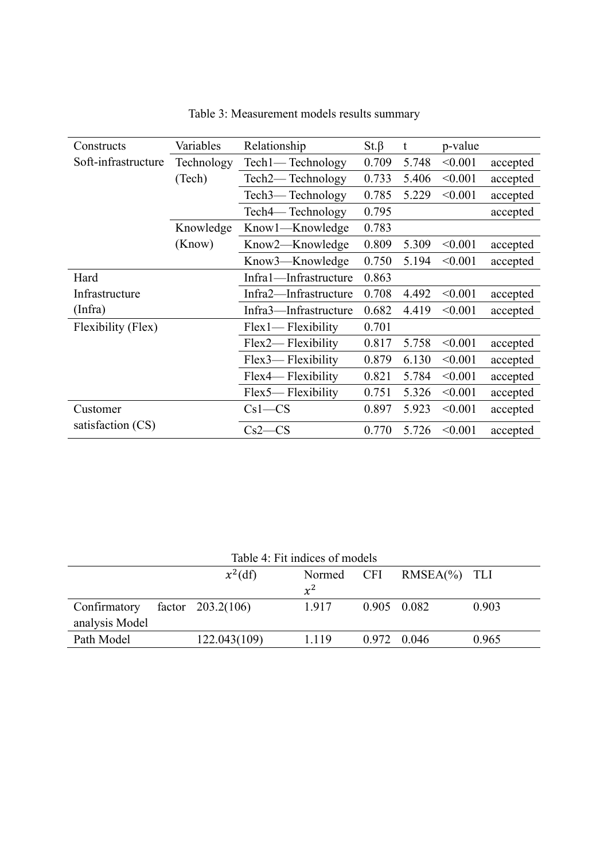| Variables<br>Constructs |            | Relationship          | $St.\beta$ | t     | p-value |          |
|-------------------------|------------|-----------------------|------------|-------|---------|----------|
| Soft-infrastructure     | Technology | Tech1— Technology     | 0.709      | 5.748 | < 0.001 | accepted |
|                         | (Tech)     | Tech2—Technology      | 0.733      | 5.406 | < 0.001 | accepted |
|                         |            | Tech3—Technology      | 0.785      | 5.229 | < 0.001 | accepted |
|                         |            | Tech4—Technology      | 0.795      |       |         | accepted |
|                         | Knowledge  | Knowl—Knowledge       | 0.783      |       |         |          |
|                         | (Know)     | Know2—Knowledge       | 0.809      | 5.309 | < 0.001 | accepted |
|                         |            | Know3—Knowledge       | 0.750      | 5.194 | < 0.001 | accepted |
| Hard                    |            | Infra1-Infrastructure | 0.863      |       |         |          |
| Infrastructure          |            | Infra2—Infrastructure | 0.708      | 4.492 | < 0.001 | accepted |
| (Infra)                 |            | Infra3—Infrastructure | 0.682      | 4.419 | < 0.001 | accepted |
| Flexibility (Flex)      |            | $Flex1$ Flexibility   | 0.701      |       |         |          |
|                         |            | Flex2— Flexibility    | 0.817      | 5.758 | < 0.001 | accepted |
|                         |            | Flex3— Flexibility    | 0.879      | 6.130 | < 0.001 | accepted |
|                         |            | Flex4— Flexibility    | 0.821      | 5.784 | < 0.001 | accepted |
|                         |            | Flex5— Flexibility    | 0.751      | 5.326 | < 0.001 | accepted |
| Customer                |            | $Cs1-CS$              | 0.897      | 5.923 | < 0.001 | accepted |
| satisfaction (CS)       |            | $Cs2-CS$              | 0.770      | 5.726 | < 0.001 | accepted |

Table 3: Measurement models results summary

| Table 4: Fit indices of models |  |                     |        |            |                 |       |
|--------------------------------|--|---------------------|--------|------------|-----------------|-------|
|                                |  | $x^2(df)$           | Normed | <b>CFI</b> | $RMSEA(\%)$ TLI |       |
|                                |  |                     | $x^2$  |            |                 |       |
| Confirmatory                   |  | factor $203.2(106)$ | 1.917  |            | 0.905 0.082     | 0.903 |
| analysis Model                 |  |                     |        |            |                 |       |
| Path Model                     |  | 122.043(109)        | 1.119  |            | 0.972 0.046     | 0.965 |